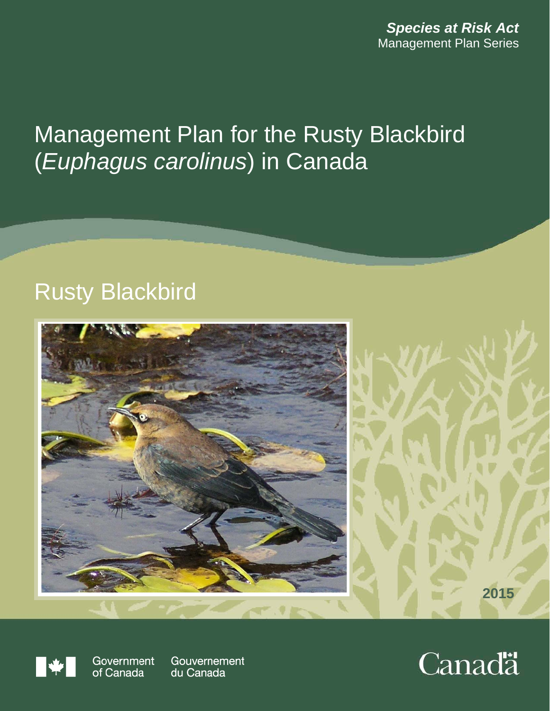*Species at Risk Act* Management Plan Series

# Management Plan for the Rusty Blackbird (*Euphagus carolinus*) in Canada

# Rusty Blackbird





Government of Canada

Gouvernement du Canada

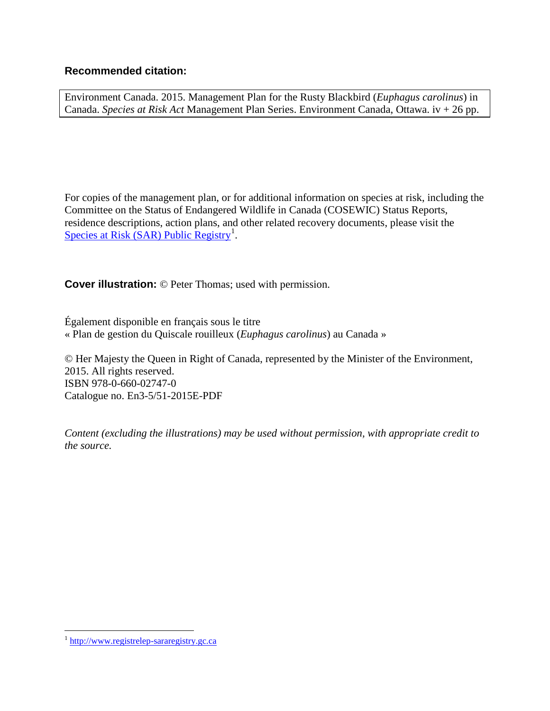#### **Recommended citation:**

Environment Canada. 2015. Management Plan for the Rusty Blackbird (*Euphagus carolinus*) in Canada. *Species at Risk Act* Management Plan Series. Environment Canada, Ottawa. iv + 26 pp.

For copies of the management plan, or for additional information on species at risk, including the Committee on the Status of Endangered Wildlife in Canada (COSEWIC) Status Reports, residence descriptions, action plans, and other related recovery documents, please visit the [Species at Risk \(SAR\) Public Registry](http://www.registrelep-sararegistry.gc.ca/)<sup>[1](#page-1-0)</sup>.

**Cover illustration:** © Peter Thomas; used with permission.

Également disponible en français sous le titre « Plan de gestion du Quiscale rouilleux (*Euphagus carolinus*) au Canada »

© Her Majesty the Queen in Right of Canada, represented by the Minister of the Environment, 2015. All rights reserved. ISBN 978-0-660-02747-0 Catalogue no. En3-5/51-2015E-PDF

*Content (excluding the illustrations) may be used without permission, with appropriate credit to the source.* 

<span id="page-1-0"></span> <sup>1</sup> [http://www.registrelep-sararegistry.gc.ca](http://www.registrelep-sararegistry.gc.ca/)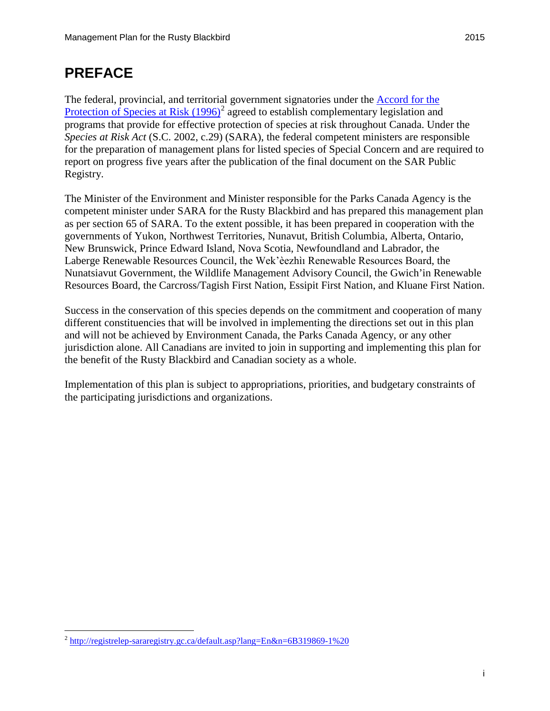# <span id="page-2-1"></span>**PREFACE**

The federal, provincial, and territorial government signatories under the [Accord for the](http://registrelep-sararegistry.gc.ca/default.asp?lang=En&n=6B319869-1%20)  [Protection of Species at Risk](http://registrelep-sararegistry.gc.ca/default.asp?lang=En&n=6B319869-1%20)  $(1996)^2$  $(1996)^2$  agreed to establish complementary legislation and programs that provide for effective protection of species at risk throughout Canada. Under the *Species at Risk Act* (S.C. 2002, c.29) (SARA), the federal competent ministers are responsible for the preparation of management plans for listed species of Special Concern and are required to report on progress five years after the publication of the final document on the SAR Public Registry.

The Minister of the Environment and Minister responsible for the Parks Canada Agency is the competent minister under SARA for the Rusty Blackbird and has prepared this management plan as per section 65 of SARA. To the extent possible, it has been prepared in cooperation with the governments of Yukon, Northwest Territories, Nunavut, British Columbia, Alberta, Ontario, New Brunswick, Prince Edward Island, Nova Scotia, Newfoundland and Labrador, the Laberge Renewable Resources Council, the Wek'èezhìı Renewable Resources Board, the Nunatsiavut Government, the Wildlife Management Advisory Council, the Gwich'in Renewable Resources Board, the Carcross/Tagish First Nation, Essipit First Nation, and Kluane First Nation.

Success in the conservation of this species depends on the commitment and cooperation of many different constituencies that will be involved in implementing the directions set out in this plan and will not be achieved by Environment Canada, the Parks Canada Agency, or any other jurisdiction alone. All Canadians are invited to join in supporting and implementing this plan for the benefit of the Rusty Blackbird and Canadian society as a whole.

<span id="page-2-2"></span>Implementation of this plan is subject to appropriations, priorities, and budgetary constraints of the participating jurisdictions and organizations.

<span id="page-2-0"></span> <sup>2</sup> <http://registrelep-sararegistry.gc.ca/default.asp?lang=En&n=6B319869-1%20>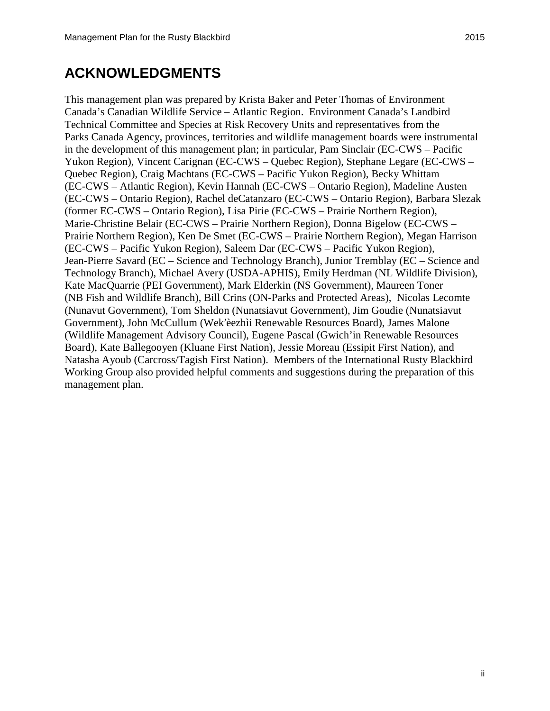# **ACKNOWLEDGMENTS**

<span id="page-3-0"></span>This management plan was prepared by Krista Baker and Peter Thomas of Environment Canada's Canadian Wildlife Service – Atlantic Region. Environment Canada's Landbird Technical Committee and Species at Risk Recovery Units and representatives from the Parks Canada Agency, provinces, territories and wildlife management boards were instrumental in the development of this management plan; in particular, Pam Sinclair (EC-CWS – Pacific Yukon Region), Vincent Carignan (EC-CWS – Quebec Region), Stephane Legare (EC-CWS – Quebec Region), Craig Machtans (EC-CWS – Pacific Yukon Region), Becky Whittam (EC-CWS – Atlantic Region), Kevin Hannah (EC-CWS – Ontario Region), Madeline Austen (EC-CWS – Ontario Region), Rachel deCatanzaro (EC-CWS – Ontario Region), Barbara Slezak (former EC-CWS – Ontario Region), Lisa Pirie (EC-CWS – Prairie Northern Region), Marie-Christine Belair (EC-CWS – Prairie Northern Region), Donna Bigelow (EC-CWS – Prairie Northern Region), Ken De Smet (EC-CWS – Prairie Northern Region), Megan Harrison (EC-CWS – Pacific Yukon Region), Saleem Dar (EC-CWS – Pacific Yukon Region), Jean-Pierre Savard (EC – Science and Technology Branch), Junior Tremblay (EC – Science and Technology Branch), Michael Avery (USDA-APHIS), Emily Herdman (NL Wildlife Division), Kate MacQuarrie (PEI Government), Mark Elderkin (NS Government), Maureen Toner (NB Fish and Wildlife Branch), Bill Crins (ON-Parks and Protected Areas), Nicolas Lecomte (Nunavut Government), Tom Sheldon (Nunatsiavut Government), Jim Goudie (Nunatsiavut Government), John McCullum (Wekʹèezhìi Renewable Resources Board), James Malone (Wildlife Management Advisory Council), Eugene Pascal (Gwich'in Renewable Resources Board), Kate Ballegooyen (Kluane First Nation), Jessie Moreau (Essipit First Nation), and Natasha Ayoub (Carcross/Tagish First Nation). Members of the International Rusty Blackbird Working Group also provided helpful comments and suggestions during the preparation of this management plan.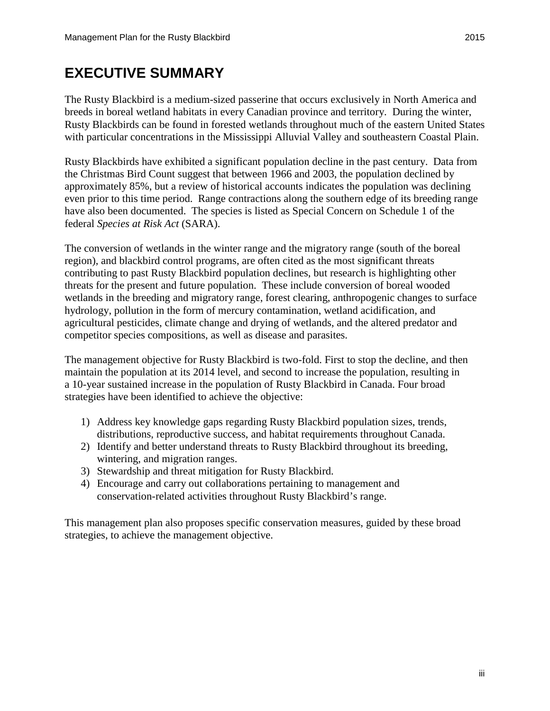## **EXECUTIVE SUMMARY**

The Rusty Blackbird is a medium-sized passerine that occurs exclusively in North America and breeds in boreal wetland habitats in every Canadian province and territory. During the winter, Rusty Blackbirds can be found in forested wetlands throughout much of the eastern United States with particular concentrations in the Mississippi Alluvial Valley and southeastern Coastal Plain.

Rusty Blackbirds have exhibited a significant population decline in the past century. Data from the Christmas Bird Count suggest that between 1966 and 2003, the population declined by approximately 85%, but a review of historical accounts indicates the population was declining even prior to this time period. Range contractions along the southern edge of its breeding range have also been documented. The species is listed as Special Concern on Schedule 1 of the federal *Species at Risk Act* (SARA).

The conversion of wetlands in the winter range and the migratory range (south of the boreal region), and blackbird control programs, are often cited as the most significant threats contributing to past Rusty Blackbird population declines, but research is highlighting other threats for the present and future population. These include conversion of boreal wooded wetlands in the breeding and migratory range, forest clearing, anthropogenic changes to surface hydrology, pollution in the form of mercury contamination, wetland acidification, and agricultural pesticides, climate change and drying of wetlands, and the altered predator and competitor species compositions, as well as disease and parasites.

The management objective for Rusty Blackbird is two-fold. First to stop the decline, and then maintain the population at its 2014 level, and second to increase the population, resulting in a 10-year sustained increase in the population of Rusty Blackbird in Canada. Four broad strategies have been identified to achieve the objective:

- 1) Address key knowledge gaps regarding Rusty Blackbird population sizes, trends, distributions, reproductive success, and habitat requirements throughout Canada.
- 2) Identify and better understand threats to Rusty Blackbird throughout its breeding, wintering, and migration ranges.
- 3) Stewardship and threat mitigation for Rusty Blackbird.
- 4) Encourage and carry out collaborations pertaining to management and conservation-related activities throughout Rusty Blackbird's range.

This management plan also proposes specific conservation measures, guided by these broad strategies, to achieve the management objective.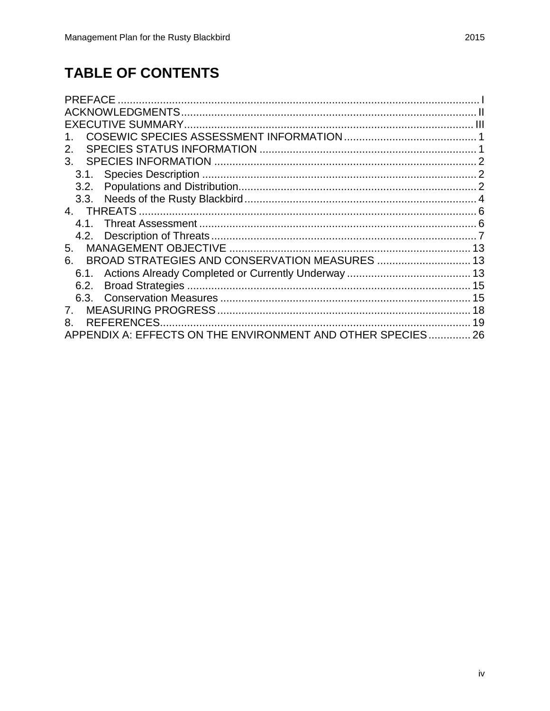# **TABLE OF CONTENTS**

| <b>PREFACE</b>                                           |    |
|----------------------------------------------------------|----|
|                                                          |    |
|                                                          |    |
|                                                          |    |
| 2.                                                       |    |
| 3.                                                       |    |
| 3.1.                                                     |    |
| 3.2.                                                     |    |
|                                                          |    |
| 4. THREATS                                               |    |
| 4.1                                                      |    |
| 4.2.                                                     |    |
| 5.                                                       | 13 |
| 6.                                                       | 13 |
| 6.1.                                                     |    |
| 6.2.                                                     | 15 |
|                                                          | 15 |
|                                                          | 18 |
| <b>REFERENCES</b><br>8.                                  | 19 |
| APPENDIX A: EFFECTS ON THE ENVIRONMENT AND OTHER SPECIES | 26 |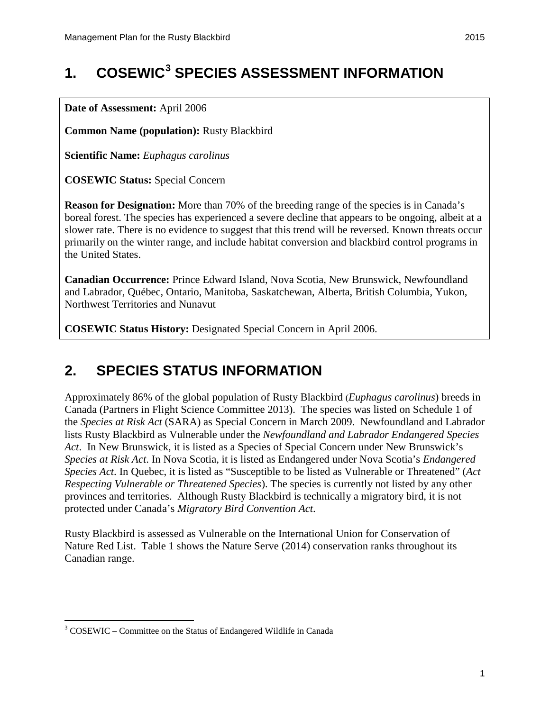# <span id="page-6-0"></span>**1. COSEWIC[3](#page-6-2) SPECIES ASSESSMENT INFORMATION**

**Date of Assessment:** April 2006

**Common Name (population):** Rusty Blackbird

**Scientific Name:** *Euphagus carolinus*

**COSEWIC Status:** Special Concern

**Reason for Designation:** More than 70% of the breeding range of the species is in Canada's boreal forest. The species has experienced a severe decline that appears to be ongoing, albeit at a slower rate. There is no evidence to suggest that this trend will be reversed. Known threats occur primarily on the winter range, and include habitat conversion and blackbird control programs in the United States.

**Canadian Occurrence:** Prince Edward Island, Nova Scotia, New Brunswick, Newfoundland and Labrador, Québec, Ontario, Manitoba, Saskatchewan, Alberta, British Columbia, Yukon, Northwest Territories and Nunavut

**COSEWIC Status History:** Designated Special Concern in April 2006.

### <span id="page-6-1"></span>**2. SPECIES STATUS INFORMATION**

Approximately 86% of the global population of Rusty Blackbird (*Euphagus carolinus*) breeds in Canada [\(Partners in Flight Science Committee 2013\)](#page-28-0). The species was listed on Schedule 1 of the *Species at Risk Act* (SARA) as Special Concern in March 2009. Newfoundland and Labrador lists Rusty Blackbird as Vulnerable under the *Newfoundland and Labrador Endangered Species Act*. In New Brunswick, it is listed as a Species of Special Concern under New Brunswick's *Species at Risk Act*. In Nova Scotia, it is listed as Endangered under Nova Scotia's *Endangered Species Act*. In Quebec, it is listed as "Susceptible to be listed as Vulnerable or Threatened" (*Act Respecting Vulnerable or Threatened Species*). The species is currently not listed by any other provinces and territories. Although Rusty Blackbird is technically a migratory bird, it is not protected under Canada's *Migratory Bird Convention Act*.

Rusty Blackbird is assessed as Vulnerable on the International Union for Conservation of Nature Red List. Table 1 shows the Nature Serve [\(2014\)](#page-28-1) conservation ranks throughout its Canadian range.

<span id="page-6-2"></span> <sup>3</sup> COSEWIC – Committee on the Status of Endangered Wildlife in Canada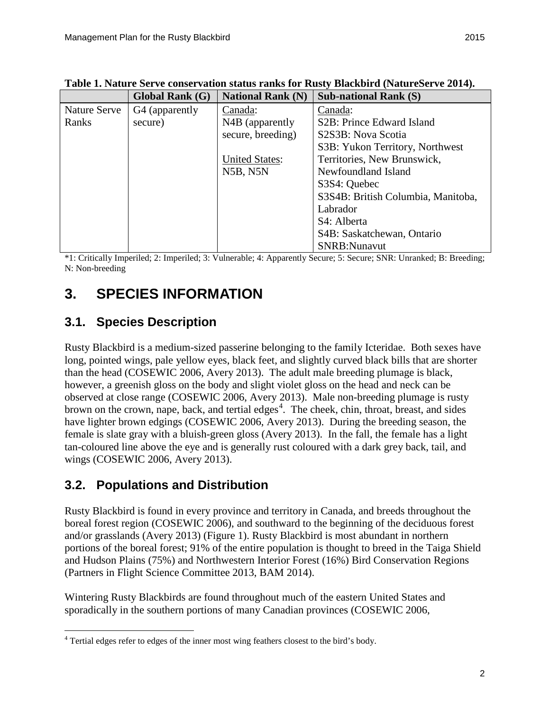|              | <b>Global Rank (G)</b> | <b>National Rank (N)</b> | <b>Sub-national Rank (S)</b>           |
|--------------|------------------------|--------------------------|----------------------------------------|
| Nature Serve | G4 (apparently         | Canada:                  | Canada:                                |
| Ranks        | secure)                | N4B (apparently          | S <sub>2</sub> B: Prince Edward Island |
|              |                        | secure, breeding)        | S2S3B: Nova Scotia                     |
|              |                        |                          | S3B: Yukon Territory, Northwest        |
|              |                        | <b>United States:</b>    | Territories, New Brunswick,            |
|              |                        | N5B, N5N                 | Newfoundland Island                    |
|              |                        |                          | S3S4: Quebec                           |
|              |                        |                          | S3S4B: British Columbia, Manitoba,     |
|              |                        |                          | Labrador                               |
|              |                        |                          | S4: Alberta                            |
|              |                        |                          | S4B: Saskatchewan, Ontario             |
|              |                        |                          | <b>SNRB:Nunavut</b>                    |

**Table 1. Nature Serve conservation status ranks for Rusty Blackbird [\(NatureServe 2014\)](#page-28-1).**

\*1: Critically Imperiled; 2: Imperiled; 3: Vulnerable; 4: Apparently Secure; 5: Secure; SNR: Unranked; B: Breeding; N: Non-breeding

# <span id="page-7-0"></span>**3. SPECIES INFORMATION**

### <span id="page-7-1"></span>**3.1. Species Description**

Rusty Blackbird is a medium-sized passerine belonging to the family Icteridae. Both sexes have long, pointed wings, pale yellow eyes, black feet, and slightly curved black bills that are shorter than the head [\(COSEWIC 2006,](#page-24-0) [Avery 2013\)](#page-24-1). The adult male breeding plumage is black, however, a greenish gloss on the body and slight violet gloss on the head and neck can be observed at close range [\(COSEWIC 2006,](#page-24-0) [Avery 2013\)](#page-24-1). Male non-breeding plumage is rusty brown on the crown, nape, back, and tertial edges<sup>[4](#page-7-3)</sup>. The cheek, chin, throat, breast, and sides have lighter brown edgings [\(COSEWIC 2006,](#page-24-0) [Avery 2013\)](#page-24-1). During the breeding season, the female is slate gray with a bluish-green gloss [\(Avery 2013\)](#page-24-1). In the fall, the female has a light tan-coloured line above the eye and is generally rust coloured with a dark grey back, tail, and wings [\(COSEWIC 2006,](#page-24-0) [Avery 2013\)](#page-24-1).

### <span id="page-7-2"></span>**3.2. Populations and Distribution**

Rusty Blackbird is found in every province and territory in Canada, and breeds throughout the boreal forest region [\(COSEWIC 2006\)](#page-24-0), and southward to the beginning of the deciduous forest and/or grasslands [\(Avery 2013\)](#page-24-1) (Figure 1). Rusty Blackbird is most abundant in northern portions of the boreal forest; 91% of the entire population is thought to breed in the Taiga Shield and Hudson Plains (75%) and Northwestern Interior Forest (16%) Bird Conservation Regions [\(Partners in Flight Science Committee 2013,](#page-28-0) [BAM 2014\)](#page-24-2).

Wintering Rusty Blackbirds are found throughout much of the eastern United States and sporadically in the southern portions of many Canadian provinces [\(COSEWIC 2006,](#page-24-0)

<span id="page-7-3"></span> <sup>4</sup> Tertial edges refer to edges of the inner most wing feathers closest to the bird's body.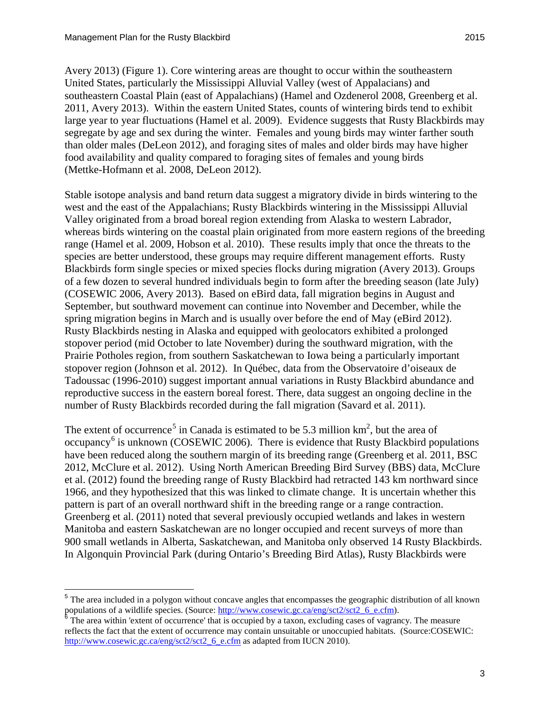[Avery](#page-24-1) 2013) (Figure 1). Core wintering areas are thought to occur within the southeastern United States, particularly the Mississippi Alluvial Valley (west of Appalacians) and southeastern Coastal Plain (east of Appalachians) [\(Hamel and Ozdenerol 2008,](#page-26-0) [Greenberg et al.](#page-26-1)  [2011,](#page-26-1) [Avery 2013\)](#page-24-1). Within the eastern United States, counts of wintering birds tend to exhibit large year to year fluctuations [\(Hamel et al. 2009\)](#page-26-2). Evidence suggests that Rusty Blackbirds may segregate by age and sex during the winter. Females and young birds may winter farther south than older males [\(DeLeon 2012\)](#page-25-0), and foraging sites of males and older birds may have higher food availability and quality compared to foraging sites of females and young birds [\(Mettke-Hofmann](#page-28-2) et al. 2008, [DeLeon 2012\)](#page-25-0).

Stable isotope analysis and band return data suggest a migratory divide in birds wintering to the west and the east of the Appalachians; Rusty Blackbirds wintering in the Mississippi Alluvial Valley originated from a broad boreal region extending from Alaska to western Labrador, whereas birds wintering on the coastal plain originated from more eastern regions of the breeding range [\(Hamel et al. 2009,](#page-26-2) [Hobson et al. 2010\)](#page-27-0). These results imply that once the threats to the species are better understood, these groups may require different management efforts. Rusty Blackbirds form single species or mixed species flocks during migration [\(Avery 2013\)](#page-24-1). Groups of a few dozen to several hundred individuals begin to form after the breeding season (late July) [\(COSEWIC 2006,](#page-24-0) [Avery 2013\)](#page-24-1). Based on eBird data, fall migration begins in August and September, but southward movement can continue into November and December, while the spring migration begins in March and is usually over before the end of May [\(eBird 2012\)](#page-25-1). Rusty Blackbirds nesting in Alaska and equipped with geolocators exhibited a prolonged stopover period (mid October to late November) during the southward migration, with the Prairie Potholes region, from southern Saskatchewan to Iowa being a particularly important stopover region [\(Johnson et al. 2012\)](#page-27-1). In Québec, data from the Observatoire d'oiseaux de Tadoussac (1996-2010) suggest important annual variations in Rusty Blackbird abundance and reproductive success in the eastern boreal forest. There, data suggest an ongoing decline in the number of Rusty Blackbirds recorded during the fall migration [\(Savard et](#page-29-0) al. 2011).

The extent of occurrence<sup>[5](#page-8-0)</sup> in Canada is estimated to be 5.3 million  $km^2$ , but the area of occupancy<sup>[6](#page-8-1)</sup> is unknown [\(COSEWIC 2006\)](#page-24-0). There is evidence that Rusty Blackbird populations have been reduced along the southern margin of its breeding range [\(Greenberg et al. 2011,](#page-26-1) [BSC](#page-24-3)  [2012,](#page-24-3) McClure [et al. 2012\)](#page-27-2). Using North American Breeding Bird Survey (BBS) data, McClure et al. [\(2012\)](#page-27-2) found the breeding range of Rusty Blackbird had retracted 143 km northward since 1966, and they hypothesized that this was linked to climate change. It is uncertain whether this pattern is part of an overall northward shift in the breeding range or a range contraction. Greenberg et al. [\(2011\)](#page-26-1) noted that several previously occupied wetlands and lakes in western Manitoba and eastern Saskatchewan are no longer occupied and recent surveys of more than 900 small wetlands in Alberta, Saskatchewan, and Manitoba only observed 14 Rusty Blackbirds. In Algonquin Provincial Park (during Ontario's Breeding Bird Atlas), Rusty Blackbirds were

<span id="page-8-0"></span><sup>&</sup>lt;sup>5</sup> The area included in a polygon without concave angles that encompasses the geographic distribution of all known populations of a wildlife species. (Source: [http://www.cosewic.gc.ca/eng/sct2/sct2\\_6\\_e.cfm\)](http://www.cosewic.gc.ca/eng/sct2/sct2_6_e.cfm). <sup>6</sup> The area within 'extent of occurrence' that is occupied by a taxon, excluding cases of vagrancy. The measure

<span id="page-8-1"></span>reflects the fact that the extent of occurrence may contain unsuitable or unoccupied habitats. (Source:COSEWIC: [http://www.cosewic.gc.ca/eng/sct2/sct2\\_6\\_e.cfm](http://www.cosewic.gc.ca/eng/sct2/sct2_6_e.cfm) as adapted from IUCN 2010).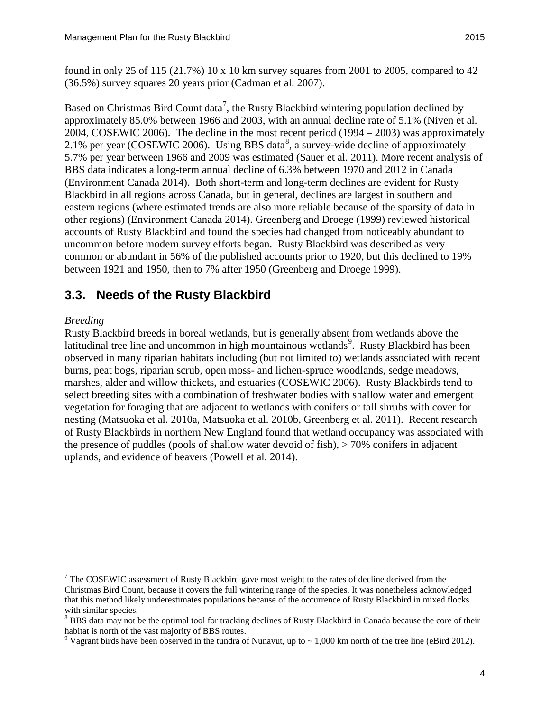found in only 25 of 115 (21.7%) 10 x 10 km survey squares from 2001 to 2005, compared to 42 (36.5%) survey squares 20 years prior [\(Cadman et al.](#page-24-4) 2007).

Based on Christmas Bird Count data<sup>[7](#page-9-1)</sup>, the Rusty Blackbird wintering population declined by approximately 85.0% between 1966 and 2003, with an annual decline rate of 5.1% [\(Niven et al.](#page-28-3) [2004,](#page-28-3) [COSEWIC 2006\)](#page-24-0). The decline in the most recent period (1994 – 2003) was approximately 2.1% per year [\(COSEWIC 2006\)](#page-24-0). Using BBS data<sup>[8](#page-9-2)</sup>, a survey-wide decline of approximately 5.7% per year between 1966 and 2009 was estimated (Sauer [et al. 2011\)](#page-29-1). More recent analysis of BBS data indicates a long-term annual decline of 6.3% between 1970 and 2012 in Canada [\(Environment Canada 2014\)](#page-25-2). Both short-term and long-term declines are evident for Rusty Blackbird in all regions across Canada, but in general, declines are largest in southern and eastern regions (where estimated trends are also more reliable because of the sparsity of data in other regions) [\(Environment Canada 2014\)](#page-25-2). Greenberg and Droege [\(1999\)](#page-26-3) reviewed historical accounts of Rusty Blackbird and found the species had changed from noticeably abundant to uncommon before modern survey efforts began. Rusty Blackbird was described as very common or abundant in 56% of the published accounts prior to 1920, but this declined to 19% between 1921 and 1950, then to 7% after 1950 [\(Greenberg and Droege 1999\)](#page-26-3).

### <span id="page-9-0"></span>**3.3. Needs of the Rusty Blackbird**

#### *Breeding*

Rusty Blackbird breeds in boreal wetlands, but is generally absent from wetlands above the latitudinal tree line and uncommon in high mountainous wetlands<sup>[9](#page-9-3)</sup>. Rusty Blackbird has been observed in many riparian habitats including (but not limited to) wetlands associated with recent burns, peat bogs, riparian scrub, open moss- and lichen-spruce woodlands, sedge meadows, marshes, alder and willow thickets, and estuaries [\(COSEWIC 2006\)](#page-24-0). Rusty Blackbirds tend to select breeding sites with a combination of freshwater bodies with shallow water and emergent vegetation for foraging that are adjacent to wetlands with conifers or tall shrubs with cover for nesting [\(Matsuoka et al. 2010a,](#page-27-3) [Matsuoka et al. 2010b,](#page-27-4) [Greenberg et al. 2011\)](#page-26-1). Recent research of Rusty Blackbirds in northern New England found that wetland occupancy was associated with the presence of puddles (pools of shallow water devoid of fish), > 70% conifers in adjacent uplands, and evidence of beavers [\(Powell et al. 2014\)](#page-29-2).

<span id="page-9-1"></span> $<sup>7</sup>$  The COSEWIC assessment of Rusty Blackbird gave most weight to the rates of decline derived from the</sup> Christmas Bird Count, because it covers the full wintering range of the species. It was nonetheless acknowledged that this method likely underestimates populations because of the occurrence of Rusty Blackbird in mixed flocks with similar species.

<span id="page-9-2"></span><sup>&</sup>lt;sup>8</sup> BBS data may not be the optimal tool for tracking declines of Rusty Blackbird in Canada because the core of their habitat is north of the vast majority of BBS routes.

<span id="page-9-3"></span><sup>&</sup>lt;sup>9</sup> Vagrant birds have been observed in the tundra of Nunavut, up to  $\sim 1,000$  km north of the tree line (eBird 2012).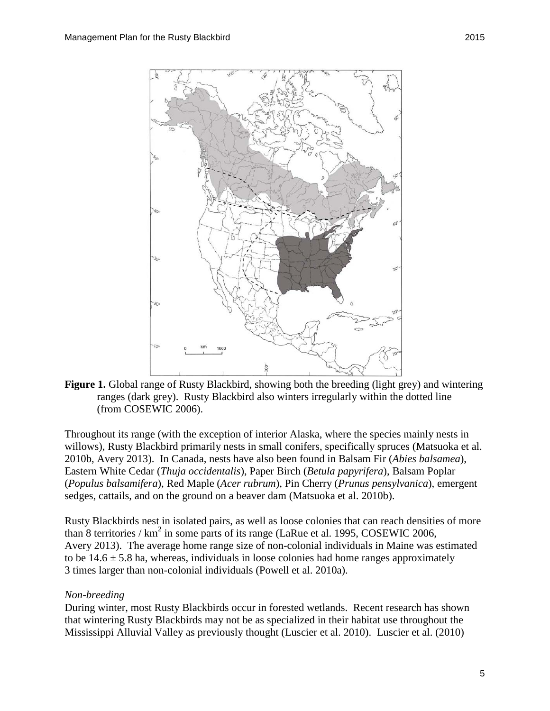

**Figure 1.** Global range of Rusty Blackbird, showing both the breeding (light grey) and wintering ranges (dark grey). Rusty Blackbird also winters irregularly within the dotted line (from COSEWIC 2006).

Throughout its range (with the exception of interior Alaska, where the species mainly nests in willows), Rusty Blackbird primarily nests in small conifers, specifically spruces [\(Matsuoka et al.](#page-27-4)  [2010b,](#page-27-4) [Avery 2013\)](#page-24-1). In Canada, nests have also been found in Balsam Fir (*Abies balsamea*), Eastern White Cedar (*Thuja occidentalis*), Paper Birch (*Betula papyrifera*), Balsam Poplar (*Populus balsamifera*), Red Maple (*Acer rubrum*), Pin Cherry (*Prunus pensylvanica*), emergent sedges, cattails, and on the ground on a beaver dam [\(Matsuoka et al. 2010b\)](#page-27-4).

Rusty Blackbirds nest in isolated pairs, as well as loose colonies that can reach densities of more than 8 territories /  $km^2$  in some parts of its range [\(LaRue et al. 1995,](#page-27-5) [COSEWIC 2006,](#page-24-0) [Avery](#page-24-1) 2013). The average home range size of non-colonial individuals in Maine was estimated to be  $14.6 \pm 5.8$  ha, whereas, individuals in loose colonies had home ranges approximately 3 times larger than non-colonial individuals [\(Powell et al.](#page-29-3) 2010a).

#### *Non-breeding*

During winter, most Rusty Blackbirds occur in forested wetlands. Recent research has shown that wintering Rusty Blackbirds may not be as specialized in their habitat use throughout the Mississippi Alluvial Valley as previously thought [\(Luscier et al. 2010\)](#page-27-6). Luscier et al. [\(2010\)](#page-27-6)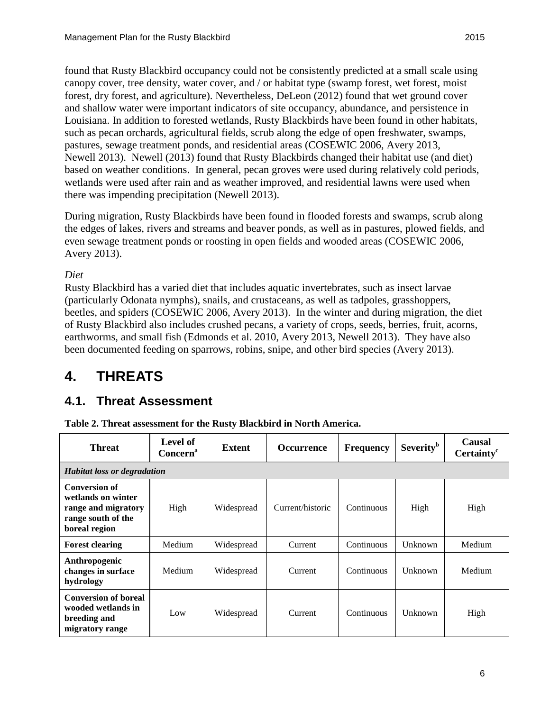found that Rusty Blackbird occupancy could not be consistently predicted at a small scale using canopy cover, tree density, water cover, and / or habitat type (swamp forest, wet forest, moist forest, dry forest, and agriculture). Nevertheless, DeLeon [\(2012\)](#page-25-0) found that wet ground cover and shallow water were important indicators of site occupancy, abundance, and persistence in Louisiana. In addition to forested wetlands, Rusty Blackbirds have been found in other habitats, such as pecan orchards, agricultural fields, scrub along the edge of open freshwater, swamps, pastures, sewage treatment ponds, and residential areas [\(COSEWIC 2006,](#page-24-0) [Avery 2013,](#page-24-1) [Newell](#page-28-4) 2013). Newell [\(2013\)](#page-28-4) found that Rusty Blackbirds changed their habitat use (and diet) based on weather conditions. In general, pecan groves were used during relatively cold periods, wetlands were used after rain and as weather improved, and residential lawns were used when there was impending precipitation [\(Newell 2013\)](#page-28-4).

During migration, Rusty Blackbirds have been found in flooded forests and swamps, scrub along the edges of lakes, rivers and streams and beaver ponds, as well as in pastures, plowed fields, and even sewage treatment ponds or roosting in open fields and wooded areas [\(COSEWIC 2006,](#page-24-0) [Avery 2013\)](#page-24-1).

#### *Diet*

Rusty Blackbird has a varied diet that includes aquatic invertebrates, such as insect larvae (particularly Odonata nymphs), snails, and crustaceans, as well as tadpoles, grasshoppers, beetles, and spiders [\(COSEWIC 2006,](#page-24-0) [Avery 2013\)](#page-24-1). In the winter and during migration, the diet of Rusty Blackbird also includes crushed pecans, a variety of crops, seeds, berries, fruit, acorns, earthworms, and small fish [\(Edmonds et al. 2010,](#page-25-3) [Avery 2013,](#page-24-1) [Newell 2013\)](#page-28-4). They have also been documented feeding on sparrows, robins, snipe, and other bird species [\(Avery 2013\)](#page-24-1).

# <span id="page-11-0"></span>**4. THREATS**

### <span id="page-11-1"></span>**4.1. Threat Assessment**

|  |  | Table 2. Threat assessment for the Rusty Blackbird in North America. |  |  |  |  |  |  |  |  |
|--|--|----------------------------------------------------------------------|--|--|--|--|--|--|--|--|
|--|--|----------------------------------------------------------------------|--|--|--|--|--|--|--|--|

| <b>Threat</b>                                                                                            | <b>Level of</b><br>Concern <sup>a</sup> | Extent     | <b>Occurrence</b> | <b>Frequency</b> | <b>Severity</b> <sup>b</sup> | <b>Causal</b><br>Certainty <sup>c</sup> |  |  |
|----------------------------------------------------------------------------------------------------------|-----------------------------------------|------------|-------------------|------------------|------------------------------|-----------------------------------------|--|--|
|                                                                                                          | <b>Habitat loss or degradation</b>      |            |                   |                  |                              |                                         |  |  |
| <b>Conversion of</b><br>wetlands on winter<br>range and migratory<br>range south of the<br>boreal region | High                                    | Widespread | Current/historic  | Continuous       | High                         | High                                    |  |  |
| <b>Forest clearing</b>                                                                                   | Medium                                  | Widespread | Current           | Continuous       | Unknown                      | Medium                                  |  |  |
| Anthropogenic<br>changes in surface<br>hydrology                                                         | Medium                                  | Widespread | Current           | Continuous       | Unknown                      | Medium                                  |  |  |
| <b>Conversion of boreal</b><br>wooded wetlands in<br>breeding and<br>migratory range                     | Low                                     | Widespread | Current           | Continuous       | Unknown                      | High                                    |  |  |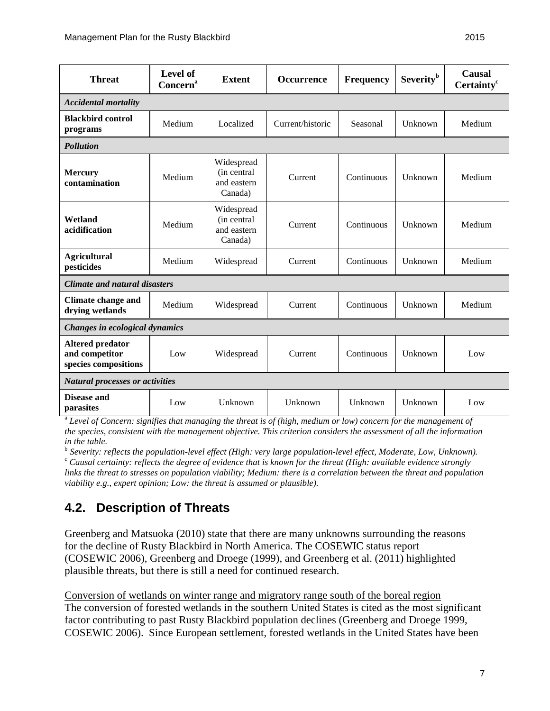| <b>Threat</b>                                                     | Level of<br><b>Concern</b> <sup>a</sup> | <b>Extent</b>                                       | <b>Occurrence</b> | <b>Frequency</b> | <b>Severity</b> <sup>b</sup> | <b>Causal</b><br>Certainty <sup>c</sup> |  |  |
|-------------------------------------------------------------------|-----------------------------------------|-----------------------------------------------------|-------------------|------------------|------------------------------|-----------------------------------------|--|--|
| <b>Accidental mortality</b>                                       |                                         |                                                     |                   |                  |                              |                                         |  |  |
| <b>Blackbird control</b><br>programs                              | Medium                                  | Localized                                           | Current/historic  | Seasonal         | Unknown                      | Medium                                  |  |  |
| <b>Pollution</b>                                                  |                                         |                                                     |                   |                  |                              |                                         |  |  |
| <b>Mercury</b><br>contamination                                   | Medium                                  | Widespread<br>(in central<br>and eastern<br>Canada) | Current           | Continuous       | Unknown                      | Medium                                  |  |  |
| Wetland<br>acidification                                          | Medium                                  | Widespread<br>(in central<br>and eastern<br>Canada) | Current           | Continuous       | Unknown                      | Medium                                  |  |  |
| <b>Agricultural</b><br>pesticides                                 | Medium                                  | Widespread                                          | Current           | Continuous       | Unknown                      | Medium                                  |  |  |
| <b>Climate and natural disasters</b>                              |                                         |                                                     |                   |                  |                              |                                         |  |  |
| <b>Climate change and</b><br>drying wetlands                      | Medium                                  | Widespread                                          | Current           | Continuous       | Unknown                      | Medium                                  |  |  |
| Changes in ecological dynamics                                    |                                         |                                                     |                   |                  |                              |                                         |  |  |
| <b>Altered predator</b><br>and competitor<br>species compositions | Low                                     | Widespread                                          | Current           | Continuous       | Unknown                      | Low                                     |  |  |
| <b>Natural processes or activities</b>                            |                                         |                                                     |                   |                  |                              |                                         |  |  |
| Disease and<br>parasites                                          | Low                                     | Unknown                                             | Unknown           | Unknown          | Unknown                      | Low                                     |  |  |

<sup>a</sup> *Level of Concern: signifies that managing the threat is of (high, medium or low) concern for the management of the species, consistent with the management objective. This criterion considers the assessment of all the information in the table.*

<sup>b</sup> Severity: reflects the population-level effect (High: very large population-level effect, Moderate, Low, Unknown).<br><sup>c</sup> Causal certainty: reflects the degree of evidence that is known for the threat (High: available ev

*links the threat to stresses on population viability; Medium: there is a correlation between the threat and population viability e.g., expert opinion; Low: the threat is assumed or plausible).*

### <span id="page-12-0"></span>**4.2. Description of Threats**

Greenberg and Matsuoka (2010) state that there are many unknowns surrounding the reasons for the decline of Rusty Blackbird in North America. The COSEWIC status report (COSEWIC 2006), Greenberg and Droege [\(1999\)](#page-26-3), and Greenberg et al. [\(2011\)](#page-26-1) highlighted plausible threats, but there is still a need for continued research.

Conversion of wetlands on winter range and migratory range south of the boreal region The conversion of forested wetlands in the southern United States is cited as the most significant factor contributing to past Rusty Blackbird population declines [\(Greenberg and Droege 1999,](#page-26-3) [COSEWIC 2006\)](#page-24-0). Since European settlement, forested wetlands in the United States have been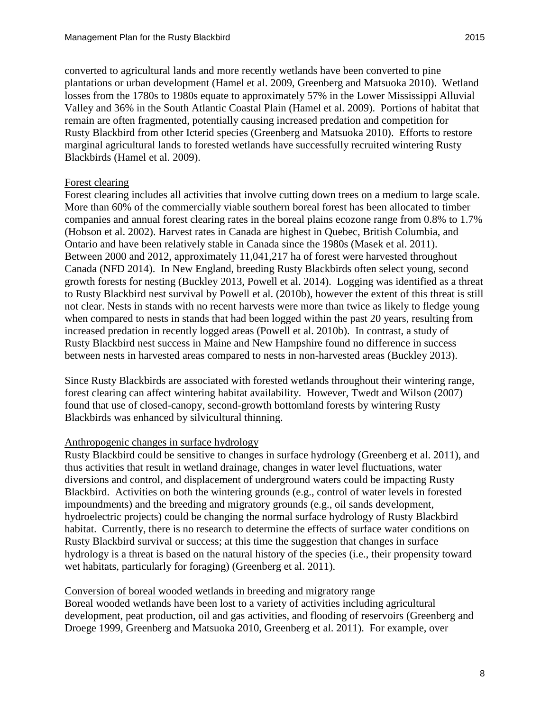converted to agricultural lands and more recently wetlands have been converted to pine plantations or urban development [\(Hamel et al. 2009,](#page-26-2) [Greenberg and Matsuoka 2010\)](#page-26-4). Wetland losses from the 1780s to 1980s equate to approximately 57% in the Lower Mississippi Alluvial Valley and 36% in the South Atlantic Coastal Plain [\(Hamel et al. 2009\)](#page-26-2). Portions of habitat that remain are often fragmented, potentially causing increased predation and competition for Rusty Blackbird from other Icterid species [\(Greenberg and Matsuoka 2010\)](#page-26-4). Efforts to restore marginal agricultural lands to forested wetlands have successfully recruited wintering Rusty Blackbirds [\(Hamel et al. 2009\)](#page-26-2).

#### Forest clearing

Forest clearing includes all activities that involve cutting down trees on a medium to large scale. More than 60% of the commercially viable southern boreal forest has been allocated to timber companies and annual forest clearing rates in the boreal plains ecozone range from 0.8% to 1.7% [\(Hobson](#page-26-5) et al. 2002). Harvest rates in Canada are highest in Quebec, British Columbia, and Ontario and have been relatively stable in Canada since the 1980s [\(Masek](#page-27-7) et al. 2011). Between 2000 and 2012, approximately 11,041,217 ha of forest were harvested throughout Canada [\(NFD 2014\)](#page-28-5). In New England, breeding Rusty Blackbirds often select young, second growth forests for nesting [\(Buckley 2013,](#page-24-5) [Powell et al. 2014\)](#page-29-2). Logging was identified as a threat to Rusty Blackbird nest survival by Powell et al. [\(2010b\)](#page-29-4), however the extent of this threat is still not clear. Nests in stands with no recent harvests were more than twice as likely to fledge young when compared to nests in stands that had been logged within the past 20 years, resulting from increased predation in recently logged areas [\(Powell et al.](#page-29-4) 2010b). In contrast, a study of Rusty Blackbird nest success in Maine and New Hampshire found no difference in success between nests in harvested areas compared to nests in non-harvested areas [\(Buckley 2013\)](#page-24-5).

Since Rusty Blackbirds are associated with forested wetlands throughout their wintering range, forest clearing can affect wintering habitat availability. However, Twedt and Wilson (2007) found that use of closed-canopy, second-growth bottomland forests by wintering Rusty Blackbirds was enhanced by silvicultural thinning.

#### Anthropogenic changes in surface hydrology

Rusty Blackbird could be sensitive to changes in surface hydrology [\(Greenberg](#page-26-1) et al. 2011), and thus activities that result in wetland drainage, changes in water level fluctuations, water diversions and control, and displacement of underground waters could be impacting Rusty Blackbird. Activities on both the wintering grounds (e.g., control of water levels in forested impoundments) and the breeding and migratory grounds (e.g., oil sands development, hydroelectric projects) could be changing the normal surface hydrology of Rusty Blackbird habitat. Currently, there is no research to determine the effects of surface water conditions on Rusty Blackbird survival or success; at this time the suggestion that changes in surface hydrology is a threat is based on the natural history of the species (i.e., their propensity toward wet habitats, particularly for foraging) [\(Greenberg et al.](#page-26-1) 2011).

#### Conversion of boreal wooded wetlands in breeding and migratory range

Boreal wooded wetlands have been lost to a variety of activities including agricultural development, peat production, oil and gas activities, and flooding of reservoirs [\(Greenberg and](#page-26-3)  [Droege 1999,](#page-26-3) [Greenberg and Matsuoka 2010,](#page-26-4) [Greenberg](#page-26-1) et al. 2011). For example, over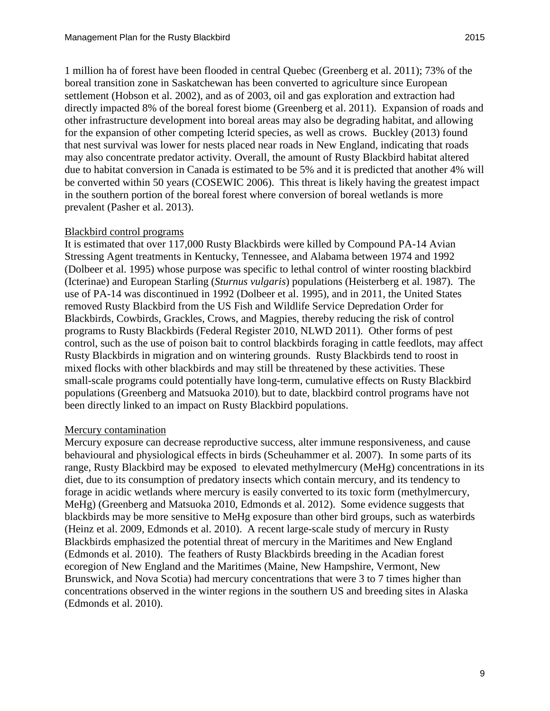1 million ha of forest have been flooded in central Quebec [\(Greenberg](#page-26-1) et al. 2011); 73% of the boreal transition zone in Saskatchewan has been converted to agriculture since European settlement [\(Hobson et al. 2002\)](#page-26-5), and as of 2003, oil and gas exploration and extraction had directly impacted 8% of the boreal forest biome [\(Greenberg et al.](#page-26-1) 2011). Expansion of roads and other infrastructure development into boreal areas may also be degrading habitat, and allowing for the expansion of other competing Icterid species, as well as crows. Buckley [\(2013\)](#page-24-5) found that nest survival was lower for nests placed near roads in New England, indicating that roads may also concentrate predator activity. Overall, the amount of Rusty Blackbird habitat altered due to habitat conversion in Canada is estimated to be 5% and it is predicted that another 4% will be converted within 50 years [\(COSEWIC 2006\)](#page-24-0). This threat is likely having the greatest impact in the southern portion of the boreal forest where conversion of boreal wetlands is more prevalent [\(Pasher et al. 2013\)](#page-28-6).

#### Blackbird control programs

It is estimated that over 117,000 Rusty Blackbirds were killed by Compound PA-14 Avian Stressing Agent treatments in Kentucky, Tennessee, and Alabama between 1974 and 1992 [\(Dolbeer et al.](#page-25-4) 1995) whose purpose was specific to lethal control of winter roosting blackbird (Icterinae) and European Starling (*Sturnus vulgaris*) populations [\(Heisterberg et al. 1987\)](#page-26-6). The use of PA-14 was discontinued in 1992 [\(Dolbeer et al.](#page-25-4) 1995), and in 2011, the United States removed Rusty Blackbird from the US Fish and Wildlife Service Depredation Order for Blackbirds, Cowbirds, Grackles, Crows, and Magpies, thereby reducing the risk of control programs to Rusty Blackbirds [\(Federal Register 2010,](#page-25-5) [NLWD 2011\)](#page-28-7). Other forms of pest control, such as the use of poison bait to control blackbirds foraging in cattle feedlots, may affect Rusty Blackbirds in migration and on wintering grounds. Rusty Blackbirds tend to roost in mixed flocks with other blackbirds and may still be threatened by these activities. These small-scale programs could potentially have long-term, cumulative effects on Rusty Blackbird populations [\(Greenberg and Matsuoka 2010\)](#page-26-4), but to date, blackbird control programs have not been directly linked to an impact on Rusty Blackbird populations.

#### Mercury contamination

Mercury exposure can decrease reproductive success, alter immune responsiveness, and cause behavioural and physiological effects in birds [\(Scheuhammer et al. 2007\)](#page-29-5). In some parts of its range, Rusty Blackbird may be exposed to elevated methylmercury (MeHg) concentrations in its diet, due to its consumption of predatory insects which contain mercury, and its tendency to forage in acidic wetlands where mercury is easily converted to its toxic form (methylmercury, MeHg) [\(Greenberg and Matsuoka 2010,](#page-26-4) [Edmonds](#page-25-6) et al. 2012). Some evidence suggests that blackbirds may be more sensitive to MeHg exposure than other bird groups, such as waterbirds [\(Heinz et al. 2009,](#page-26-7) [Edmonds](#page-25-3) et al. 2010). A recent large-scale study of mercury in Rusty Blackbirds emphasized the potential threat of mercury in the Maritimes and New England [\(Edmonds et al. 2010\)](#page-25-3). The feathers of Rusty Blackbirds breeding in the Acadian forest ecoregion of New England and the Maritimes (Maine, New Hampshire, Vermont, New Brunswick, and Nova Scotia) had mercury concentrations that were 3 to 7 times higher than concentrations observed in the winter regions in the southern US and breeding sites in Alaska [\(Edmonds et al. 2010\)](#page-25-3).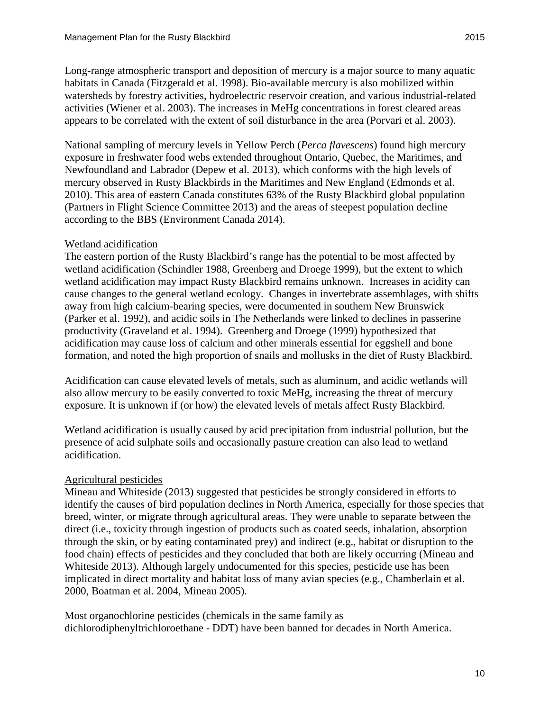Long-range atmospheric transport and deposition of mercury is a major source to many aquatic habitats in Canada [\(Fitzgerald et al. 1998\)](#page-25-7). Bio-available mercury is also mobilized within watersheds by forestry activities, hydroelectric reservoir creation, and various industrial-related activities [\(Wiener](#page-30-0) et al. 2003). The increases in MeHg concentrations in forest cleared areas appears to be correlated with the extent of soil disturbance in the area [\(Porvari et al. 2003\)](#page-29-6).

National sampling of mercury levels in Yellow Perch (*Perca flavescens*) found high mercury exposure in freshwater food webs extended throughout Ontario, Quebec, the Maritimes, and Newfoundland and Labrador [\(Depew et al. 2013\)](#page-25-8), which conforms with the high levels of mercury observed in Rusty Blackbirds in the Maritimes and New England [\(Edmonds et al.](#page-25-3)  [2010\)](#page-25-3). This area of eastern Canada constitutes 63% of the Rusty Blackbird global population [\(Partners in Flight Science Committee 2013\)](#page-28-0) and the areas of steepest population decline according to the BBS [\(Environment Canada 2014\)](#page-25-2).

#### Wetland acidification

The eastern portion of the Rusty Blackbird's range has the potential to be most affected by wetland acidification [\(Schindler 1988,](#page-29-7) [Greenberg and Droege 1999\)](#page-26-3), but the extent to which wetland acidification may impact Rusty Blackbird remains unknown. Increases in acidity can cause changes to the general wetland ecology. Changes in invertebrate assemblages, with shifts away from high calcium-bearing species, were documented in southern New Brunswick [\(Parker](#page-28-8) et al. 1992), and acidic soils in The Netherlands were linked to declines in passerine productivity [\(Graveland et al.](#page-26-8) 1994). Greenberg and Droege [\(1999\)](#page-26-3) hypothesized that acidification may cause loss of calcium and other minerals essential for eggshell and bone formation, and noted the high proportion of snails and mollusks in the diet of Rusty Blackbird.

Acidification can cause elevated levels of metals, such as aluminum, and acidic wetlands will also allow mercury to be easily converted to toxic MeHg, increasing the threat of mercury exposure. It is unknown if (or how) the elevated levels of metals affect Rusty Blackbird.

Wetland acidification is usually caused by acid precipitation from industrial pollution, but the presence of acid sulphate soils and occasionally pasture creation can also lead to wetland acidification.

#### Agricultural pesticides

Mineau and Whiteside [\(2013\)](#page-28-9) suggested that pesticides be strongly considered in efforts to identify the causes of bird population declines in North America, especially for those species that breed, winter, or migrate through agricultural areas. They were unable to separate between the direct (i.e., toxicity through ingestion of products such as coated seeds, inhalation, absorption through the skin, or by eating contaminated prey) and indirect (e.g., habitat or disruption to the food chain) effects of pesticides and they concluded that both are likely occurring [\(Mineau and](#page-28-9)  [Whiteside 2013\)](#page-28-9). Although largely undocumented for this species, pesticide use has been implicated in direct mortality and habitat loss of many avian species (e.g., [Chamberlain](#page-24-6) et al. [2000,](#page-24-6) [Boatman](#page-24-7) et al. 2004, [Mineau 2005\)](#page-28-10).

Most organochlorine pesticides (chemicals in the same family as dichlorodiphenyltrichloroethane - DDT) have been banned for decades in North America.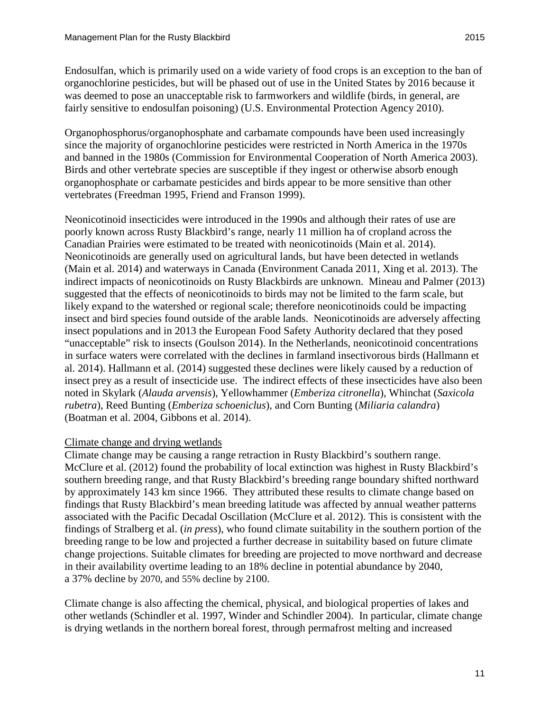Endosulfan, which is primarily used on a wide variety of food crops is an exception to the ban of organochlorine pesticides, but will be phased out of use in the United States by 2016 because it was deemed to pose an unacceptable risk to farmworkers and wildlife (birds, in general, are fairly sensitive to endosulfan poisoning) [\(U.S. Environmental Protection Agency 2010\)](#page-30-1).

Organophosphorus/organophosphate and carbamate compounds have been used increasingly since the majority of organochlorine pesticides were restricted in North America in the 1970s and banned in the 1980s [\(Commission for Environmental Cooperation of North America 2003\)](#page-24-8). Birds and other vertebrate species are susceptible if they ingest or otherwise absorb enough organophosphate or carbamate pesticides and birds appear to be more sensitive than other vertebrates [\(Freedman 1995,](#page-25-9) [Friend and Franson 1999\)](#page-25-10).

Neonicotinoid insecticides were introduced in the 1990s and although their rates of use are poorly known across Rusty Blackbird's range, nearly 11 million ha of cropland across the Canadian Prairies were estimated to be treated with neonicotinoids [\(Main](#page-27-8) et al. 2014). Neonicotinoids are generally used on agricultural lands, but have been detected in wetlands [\(Main](#page-27-8) et al. 2014) and waterways in Canada [\(Environment Canada 2011,](#page-25-11) Xing et al. [2013\)](#page-30-2). The indirect impacts of neonicotinoids on Rusty Blackbirds are unknown. Mineau and Palmer [\(2013\)](#page-28-11) suggested that the effects of neonicotinoids to birds may not be limited to the farm scale, but likely expand to the watershed or regional scale; therefore neonicotinoids could be impacting insect and bird species found outside of the arable lands. Neonicotinoids are adversely affecting insect populations and in 2013 the European Food Safety Authority declared that they posed "unacceptable" risk to insects [\(Goulson 2014\)](#page-26-9). In the Netherlands, neonicotinoid concentrations in surface waters were correlated with the declines in farmland insectivorous birds [\(Hallmann](#page-26-10) et al. [2014\)](#page-26-10). Hallmann et al. [\(2014\)](#page-26-10) suggested these declines were likely caused by a reduction of insect prey as a result of insecticide use. The indirect effects of these insecticides have also been noted in Skylark (*Alauda arvensis*), Yellowhammer (*Emberiza citronella*), Whinchat (*Saxicola rubetra*), Reed Bunting (*Emberiza schoeniclus*), and Corn Bunting (*Miliaria calandra*) [\(Boatman](#page-24-7) et al. 2004, [Gibbons](#page-26-11) et al. 2014).

#### Climate change and drying wetlands

Climate change may be causing a range retraction in Rusty Blackbird's southern range. McClure et al. [\(2012\)](#page-27-2) found the probability of local extinction was highest in Rusty Blackbird's southern breeding range, and that Rusty Blackbird's breeding range boundary shifted northward by approximately 143 km since 1966. They attributed these results to climate change based on findings that Rusty Blackbird's mean breeding latitude was affected by annual weather patterns associated with the Pacific Decadal Oscillation [\(McClure et al. 2012\)](#page-27-2). This is consistent with the findings of Stralberg et al. (*[in press](#page-30-3)*), who found climate suitability in the southern portion of the breeding range to be low and projected a further decrease in suitability based on future climate change projections. Suitable climates for breeding are projected to move northward and decrease in their availability overtime leading to an 18% decline in potential abundance by 2040, a 37% decline by 2070, and 55% decline by 2100.

Climate change is also affecting the chemical, physical, and biological properties of lakes and other wetlands [\(Schindler et al.](#page-29-8) 1997, [Winder and Schindler 2004\)](#page-30-4). In particular, climate change is drying wetlands in the northern boreal forest, through permafrost melting and increased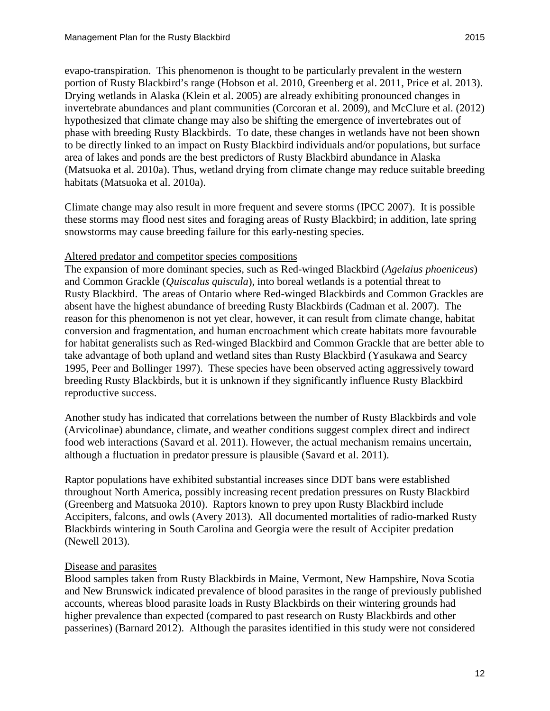evapo-transpiration. This phenomenon is thought to be particularly prevalent in the western portion of Rusty Blackbird's range [\(Hobson et al. 2010,](#page-27-0) [Greenberg et al. 2011,](#page-26-1) [Price et al. 2013\)](#page-29-9). Drying wetlands in Alaska [\(Klein et al. 2005\)](#page-27-9) are already exhibiting pronounced changes in invertebrate abundances and plant communities [\(Corcoran et al.](#page-24-9) 2009), and McClure et al. [\(2012\)](#page-27-2) hypothesized that climate change may also be shifting the emergence of invertebrates out of phase with breeding Rusty Blackbirds. To date, these changes in wetlands have not been shown to be directly linked to an impact on Rusty Blackbird individuals and/or populations, but surface area of lakes and ponds are the best predictors of Rusty Blackbird abundance in Alaska [\(Matsuoka et al. 2010a\)](#page-27-3). Thus, wetland drying from climate change may reduce suitable breeding habitats [\(Matsuoka et al. 2010a\)](#page-27-3).

Climate change may also result in more frequent and severe storms [\(IPCC 2007\)](#page-27-10). It is possible these storms may flood nest sites and foraging areas of Rusty Blackbird; in addition, late spring snowstorms may cause breeding failure for this early-nesting species.

#### Altered predator and competitor species compositions

The expansion of more dominant species, such as Red-winged Blackbird (*Agelaius phoeniceus*) and Common Grackle (*Quiscalus quiscula*), into boreal wetlands is a potential threat to Rusty Blackbird. The areas of Ontario where Red-winged Blackbirds and Common Grackles are absent have the highest abundance of breeding Rusty Blackbirds [\(Cadman et al.](#page-24-4) 2007). The reason for this phenomenon is not yet clear, however, it can result from climate change, habitat conversion and fragmentation, and human encroachment which create habitats more favourable for habitat generalists such as Red-winged Blackbird and Common Grackle that are better able to take advantage of both upland and wetland sites than Rusty Blackbird [\(Yasukawa and Searcy](#page-30-5)  [1995,](#page-30-5) [Peer and Bollinger 1997\)](#page-29-10). These species have been observed acting aggressively toward breeding Rusty Blackbirds, but it is unknown if they significantly influence Rusty Blackbird reproductive success.

Another study has indicated that correlations between the number of Rusty Blackbirds and vole (Arvicolinae) abundance, climate, and weather conditions suggest complex direct and indirect food web interactions [\(Savard et al. 2011\)](#page-29-0). However, the actual mechanism remains uncertain, although a fluctuation in predator pressure is plausible [\(Savard et al. 2011\)](#page-29-0).

Raptor populations have exhibited substantial increases since DDT bans were established throughout North America, possibly increasing recent predation pressures on Rusty Blackbird [\(Greenberg and Matsuoka 2010\)](#page-26-4). Raptors known to prey upon Rusty Blackbird include Accipiters, falcons, and owls [\(Avery 2013\)](#page-24-1). All documented mortalities of radio-marked Rusty Blackbirds wintering in South Carolina and Georgia were the result of Accipiter predation [\(Newell 2013\)](#page-28-4).

#### Disease and parasites

Blood samples taken from Rusty Blackbirds in Maine, Vermont, New Hampshire, Nova Scotia and New Brunswick indicated prevalence of blood parasites in the range of previously published accounts, whereas blood parasite loads in Rusty Blackbirds on their wintering grounds had higher prevalence than expected (compared to past research on Rusty Blackbirds and other passerines) [\(Barnard 2012\)](#page-24-10). Although the parasites identified in this study were not considered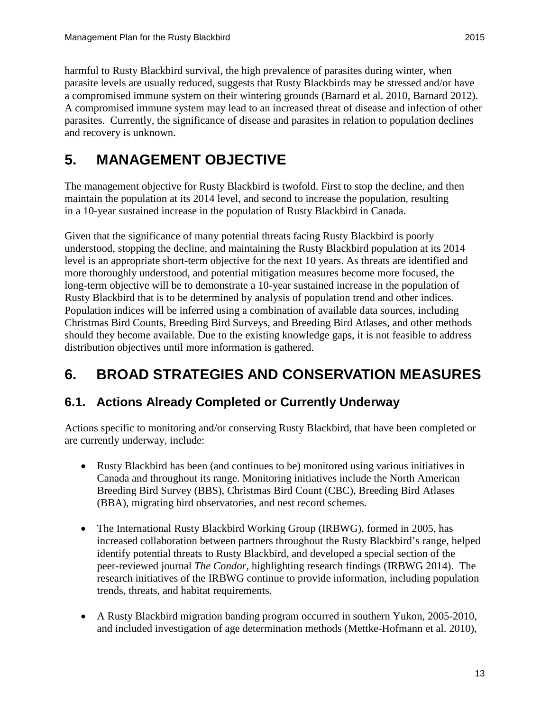harmful to Rusty Blackbird survival, the high prevalence of parasites during winter, when parasite levels are usually reduced, suggests that Rusty Blackbirds may be stressed and/or have a compromised immune system on their wintering grounds [\(Barnard et al.](#page-24-11) 2010, [Barnard 2012\)](#page-24-10). A compromised immune system may lead to an increased threat of disease and infection of other parasites. Currently, the significance of disease and parasites in relation to population declines and recovery is unknown.

# <span id="page-18-0"></span>**5. MANAGEMENT OBJECTIVE**

The management objective for Rusty Blackbird is twofold. First to stop the decline, and then maintain the population at its 2014 level, and second to increase the population, resulting in a 10-year sustained increase in the population of Rusty Blackbird in Canada.

Given that the significance of many potential threats facing Rusty Blackbird is poorly understood, stopping the decline, and maintaining the Rusty Blackbird population at its 2014 level is an appropriate short-term objective for the next 10 years. As threats are identified and more thoroughly understood, and potential mitigation measures become more focused, the long-term objective will be to demonstrate a 10-year sustained increase in the population of Rusty Blackbird that is to be determined by analysis of population trend and other indices. Population indices will be inferred using a combination of available data sources, including Christmas Bird Counts, Breeding Bird Surveys, and Breeding Bird Atlases, and other methods should they become available. Due to the existing knowledge gaps, it is not feasible to address distribution objectives until more information is gathered.

# <span id="page-18-1"></span>**6. BROAD STRATEGIES AND CONSERVATION MEASURES**

### <span id="page-18-2"></span>**6.1. Actions Already Completed or Currently Underway**

Actions specific to monitoring and/or conserving Rusty Blackbird, that have been completed or are currently underway, include:

- Rusty Blackbird has been (and continues to be) monitored using various initiatives in Canada and throughout its range. Monitoring initiatives include the North American Breeding Bird Survey (BBS), Christmas Bird Count (CBC), Breeding Bird Atlases (BBA), migrating bird observatories, and nest record schemes.
- The International Rusty Blackbird Working Group (IRBWG), formed in 2005, has increased collaboration between partners throughout the Rusty Blackbird's range, helped identify potential threats to Rusty Blackbird, and developed a special section of the peer-reviewed journal *The Condor,* highlighting research findings [\(IRBWG 2014\)](#page-27-11). The research initiatives of the IRBWG continue to provide information, including population trends, threats, and habitat requirements.
- A Rusty Blackbird migration banding program occurred in southern Yukon, 2005-2010, and included investigation of age determination methods [\(Mettke-Hofmann et al.](#page-28-12) 2010),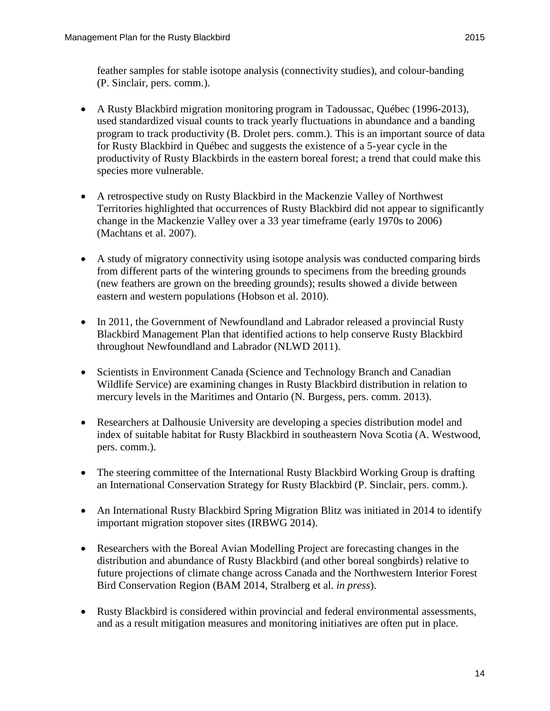feather samples for stable isotope analysis (connectivity studies), and colour-banding (P. Sinclair, pers. comm.).

- A Rusty Blackbird migration monitoring program in Tadoussac, Québec (1996-2013), used standardized visual counts to track yearly fluctuations in abundance and a banding program to track productivity (B. Drolet pers. comm.). This is an important source of data for Rusty Blackbird in Québec and suggests the existence of a 5-year cycle in the productivity of Rusty Blackbirds in the eastern boreal forest; a trend that could make this species more vulnerable.
- A retrospective study on Rusty Blackbird in the Mackenzie Valley of Northwest Territories highlighted that occurrences of Rusty Blackbird did not appear to significantly change in the Mackenzie Valley over a 33 year timeframe (early 1970s to 2006) [\(Machtans et al.](#page-27-12) 2007).
- A study of migratory connectivity using isotope analysis was conducted comparing birds from different parts of the wintering grounds to specimens from the breeding grounds (new feathers are grown on the breeding grounds); results showed a divide between eastern and western populations [\(Hobson et](#page-27-0) al. 2010).
- In 2011, the Government of Newfoundland and Labrador released a provincial Rusty Blackbird Management Plan that identified actions to help conserve Rusty Blackbird throughout Newfoundland and Labrador [\(NLWD 2011\)](#page-28-7).
- Scientists in Environment Canada (Science and Technology Branch and Canadian Wildlife Service) are examining changes in Rusty Blackbird distribution in relation to mercury levels in the Maritimes and Ontario (N. Burgess, pers. comm. 2013).
- Researchers at Dalhousie University are developing a species distribution model and index of suitable habitat for Rusty Blackbird in southeastern Nova Scotia (A. Westwood, pers. comm.).
- The steering committee of the International Rusty Blackbird Working Group is drafting an International Conservation Strategy for Rusty Blackbird (P. Sinclair, pers. comm.).
- An International Rusty Blackbird Spring Migration Blitz was initiated in 2014 to identify important migration stopover sites [\(IRBWG 2014\)](#page-27-11).
- Researchers with the Boreal Avian Modelling Project are forecasting changes in the distribution and abundance of Rusty Blackbird (and other boreal songbirds) relative to future projections of climate change across Canada and the Northwestern Interior Forest Bird Conservation Region [\(BAM 2014,](#page-24-2) [Stralberg et al.](#page-30-3) *in press*).
- Rusty Blackbird is considered within provincial and federal environmental assessments, and as a result mitigation measures and monitoring initiatives are often put in place.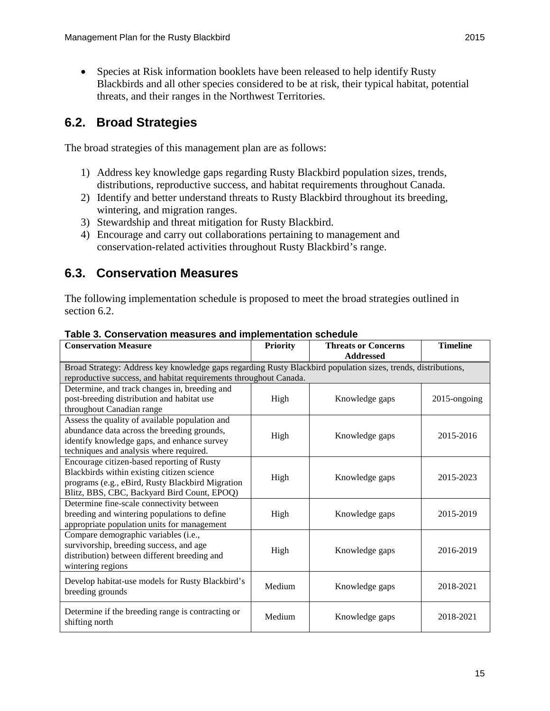• Species at Risk information booklets have been released to help identify Rusty Blackbirds and all other species considered to be at risk, their typical habitat, potential threats, and their ranges in the Northwest Territories.

### <span id="page-20-0"></span>**6.2. Broad Strategies**

The broad strategies of this management plan are as follows:

- 1) Address key knowledge gaps regarding Rusty Blackbird population sizes, trends, distributions, reproductive success, and habitat requirements throughout Canada.
- 2) Identify and better understand threats to Rusty Blackbird throughout its breeding, wintering, and migration ranges.
- 3) Stewardship and threat mitigation for Rusty Blackbird.
- 4) Encourage and carry out collaborations pertaining to management and conservation-related activities throughout Rusty Blackbird's range.

### <span id="page-20-1"></span>**6.3. Conservation Measures**

The following implementation schedule is proposed to meet the broad strategies outlined in section 6.2.

| <b>Conservation Measure</b>                                                                                                                                                                 | <b>Priority</b> | <b>Threats or Concerns</b><br><b>Addressed</b> | <b>Timeline</b> |
|---------------------------------------------------------------------------------------------------------------------------------------------------------------------------------------------|-----------------|------------------------------------------------|-----------------|
| Broad Strategy: Address key knowledge gaps regarding Rusty Blackbird population sizes, trends, distributions,<br>reproductive success, and habitat requirements throughout Canada.          |                 |                                                |                 |
| Determine, and track changes in, breeding and<br>post-breeding distribution and habitat use<br>throughout Canadian range                                                                    | High            | Knowledge gaps                                 | 2015-ongoing    |
| Assess the quality of available population and<br>abundance data across the breeding grounds,<br>identify knowledge gaps, and enhance survey<br>techniques and analysis where required.     | High            | Knowledge gaps                                 | 2015-2016       |
| Encourage citizen-based reporting of Rusty<br>Blackbirds within existing citizen science<br>programs (e.g., eBird, Rusty Blackbird Migration<br>Blitz, BBS, CBC, Backyard Bird Count, EPOQ) | High            | Knowledge gaps                                 | 2015-2023       |
| Determine fine-scale connectivity between<br>breeding and wintering populations to define<br>appropriate population units for management                                                    | High            | Knowledge gaps                                 | 2015-2019       |
| Compare demographic variables (i.e.,<br>survivorship, breeding success, and age<br>distribution) between different breeding and<br>wintering regions                                        | High            | Knowledge gaps                                 | 2016-2019       |
| Develop habitat-use models for Rusty Blackbird's<br>breeding grounds                                                                                                                        | Medium          | Knowledge gaps                                 | 2018-2021       |
| Determine if the breeding range is contracting or<br>shifting north                                                                                                                         | Medium          | Knowledge gaps                                 | 2018-2021       |

#### **Table 3. Conservation measures and implementation schedule**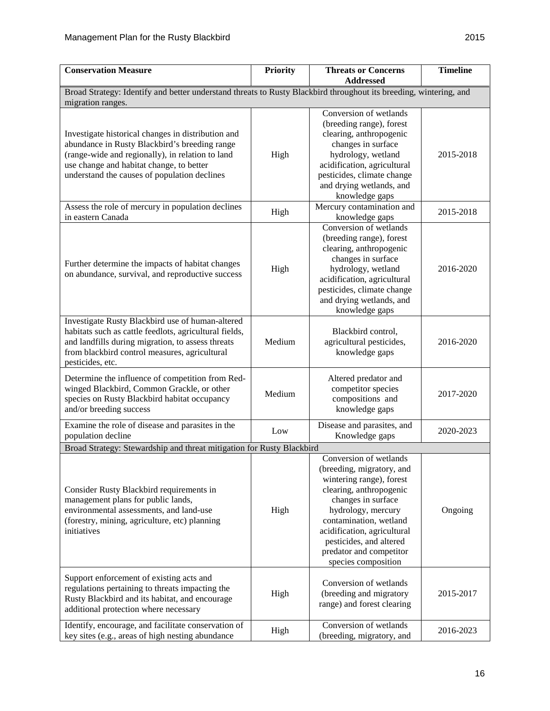| <b>Conservation Measure</b>                                                                                                                                                                                                                         | <b>Priority</b> | <b>Threats or Concerns</b><br><b>Addressed</b>                                                                                                                                                                                                                                               | <b>Timeline</b> |  |  |  |  |
|-----------------------------------------------------------------------------------------------------------------------------------------------------------------------------------------------------------------------------------------------------|-----------------|----------------------------------------------------------------------------------------------------------------------------------------------------------------------------------------------------------------------------------------------------------------------------------------------|-----------------|--|--|--|--|
| Broad Strategy: Identify and better understand threats to Rusty Blackbird throughout its breeding, wintering, and                                                                                                                                   |                 |                                                                                                                                                                                                                                                                                              |                 |  |  |  |  |
| migration ranges.                                                                                                                                                                                                                                   |                 |                                                                                                                                                                                                                                                                                              |                 |  |  |  |  |
| Investigate historical changes in distribution and<br>abundance in Rusty Blackbird's breeding range<br>(range-wide and regionally), in relation to land<br>use change and habitat change, to better<br>understand the causes of population declines | High            | Conversion of wetlands<br>(breeding range), forest<br>clearing, anthropogenic<br>changes in surface<br>hydrology, wetland<br>acidification, agricultural<br>pesticides, climate change<br>and drying wetlands, and<br>knowledge gaps                                                         | 2015-2018       |  |  |  |  |
| Assess the role of mercury in population declines<br>in eastern Canada                                                                                                                                                                              | High            | Mercury contamination and<br>knowledge gaps                                                                                                                                                                                                                                                  | 2015-2018       |  |  |  |  |
| Further determine the impacts of habitat changes<br>on abundance, survival, and reproductive success                                                                                                                                                | High            | Conversion of wetlands<br>(breeding range), forest<br>clearing, anthropogenic<br>changes in surface<br>hydrology, wetland<br>acidification, agricultural<br>pesticides, climate change<br>and drying wetlands, and<br>knowledge gaps                                                         | 2016-2020       |  |  |  |  |
| Investigate Rusty Blackbird use of human-altered<br>habitats such as cattle feedlots, agricultural fields,<br>and landfills during migration, to assess threats<br>from blackbird control measures, agricultural<br>pesticides, etc.                | Medium          | Blackbird control,<br>agricultural pesticides,<br>knowledge gaps                                                                                                                                                                                                                             | 2016-2020       |  |  |  |  |
| Determine the influence of competition from Red-<br>winged Blackbird, Common Grackle, or other<br>species on Rusty Blackbird habitat occupancy<br>and/or breeding success                                                                           | Medium          | Altered predator and<br>competitor species<br>compositions and<br>knowledge gaps                                                                                                                                                                                                             | 2017-2020       |  |  |  |  |
| Examine the role of disease and parasites in the<br>population decline                                                                                                                                                                              | Low             | Disease and parasites, and<br>Knowledge gaps                                                                                                                                                                                                                                                 | 2020-2023       |  |  |  |  |
| Broad Strategy: Stewardship and threat mitigation for Rusty Blackbird                                                                                                                                                                               |                 |                                                                                                                                                                                                                                                                                              |                 |  |  |  |  |
| Consider Rusty Blackbird requirements in<br>management plans for public lands,<br>environmental assessments, and land-use<br>(forestry, mining, agriculture, etc) planning<br>initiatives                                                           | High            | Conversion of wetlands<br>(breeding, migratory, and<br>wintering range), forest<br>clearing, anthropogenic<br>changes in surface<br>hydrology, mercury<br>contamination, wetland<br>acidification, agricultural<br>pesticides, and altered<br>predator and competitor<br>species composition | Ongoing         |  |  |  |  |
| Support enforcement of existing acts and<br>regulations pertaining to threats impacting the<br>Rusty Blackbird and its habitat, and encourage<br>additional protection where necessary                                                              | High            | Conversion of wetlands<br>(breeding and migratory<br>range) and forest clearing                                                                                                                                                                                                              | 2015-2017       |  |  |  |  |
| Identify, encourage, and facilitate conservation of<br>key sites (e.g., areas of high nesting abundance                                                                                                                                             | High            | Conversion of wetlands<br>(breeding, migratory, and                                                                                                                                                                                                                                          | 2016-2023       |  |  |  |  |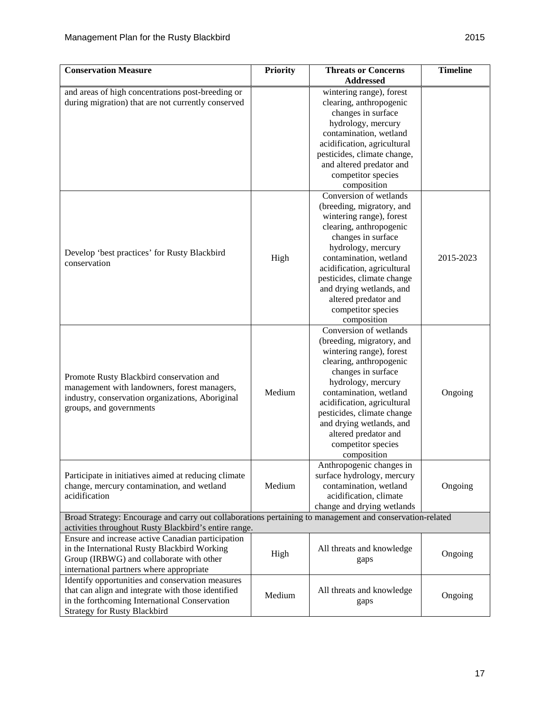| <b>Conservation Measure</b>                                                                              | <b>Priority</b> | <b>Threats or Concerns</b>  | <b>Timeline</b> |
|----------------------------------------------------------------------------------------------------------|-----------------|-----------------------------|-----------------|
|                                                                                                          |                 | <b>Addressed</b>            |                 |
| and areas of high concentrations post-breeding or                                                        |                 | wintering range), forest    |                 |
| during migration) that are not currently conserved                                                       |                 | clearing, anthropogenic     |                 |
|                                                                                                          |                 | changes in surface          |                 |
|                                                                                                          |                 | hydrology, mercury          |                 |
|                                                                                                          |                 | contamination, wetland      |                 |
|                                                                                                          |                 | acidification, agricultural |                 |
|                                                                                                          |                 | pesticides, climate change, |                 |
|                                                                                                          |                 | and altered predator and    |                 |
|                                                                                                          |                 | competitor species          |                 |
|                                                                                                          |                 | composition                 |                 |
|                                                                                                          |                 | Conversion of wetlands      |                 |
|                                                                                                          |                 | (breeding, migratory, and   |                 |
|                                                                                                          |                 | wintering range), forest    |                 |
|                                                                                                          |                 | clearing, anthropogenic     |                 |
|                                                                                                          |                 | changes in surface          |                 |
| Develop 'best practices' for Rusty Blackbird                                                             |                 | hydrology, mercury          |                 |
| conservation                                                                                             | High            | contamination, wetland      | 2015-2023       |
|                                                                                                          |                 | acidification, agricultural |                 |
|                                                                                                          |                 | pesticides, climate change  |                 |
|                                                                                                          |                 | and drying wetlands, and    |                 |
|                                                                                                          |                 | altered predator and        |                 |
|                                                                                                          |                 | competitor species          |                 |
|                                                                                                          |                 | composition                 |                 |
|                                                                                                          |                 | Conversion of wetlands      |                 |
|                                                                                                          |                 | (breeding, migratory, and   |                 |
|                                                                                                          |                 | wintering range), forest    |                 |
|                                                                                                          |                 | clearing, anthropogenic     |                 |
| Promote Rusty Blackbird conservation and                                                                 |                 | changes in surface          |                 |
| management with landowners, forest managers,                                                             |                 | hydrology, mercury          |                 |
| industry, conservation organizations, Aboriginal                                                         | Medium          | contamination, wetland      | Ongoing         |
| groups, and governments                                                                                  |                 | acidification, agricultural |                 |
|                                                                                                          |                 | pesticides, climate change  |                 |
|                                                                                                          |                 | and drying wetlands, and    |                 |
|                                                                                                          |                 | altered predator and        |                 |
|                                                                                                          |                 | competitor species          |                 |
|                                                                                                          |                 | composition                 |                 |
|                                                                                                          |                 | Anthropogenic changes in    |                 |
| Participate in initiatives aimed at reducing climate                                                     |                 | surface hydrology, mercury  |                 |
| change, mercury contamination, and wetland                                                               | Medium          | contamination, wetland      | Ongoing         |
| acidification                                                                                            |                 | acidification, climate      |                 |
|                                                                                                          |                 | change and drying wetlands  |                 |
| Broad Strategy: Encourage and carry out collaborations pertaining to management and conservation-related |                 |                             |                 |
| activities throughout Rusty Blackbird's entire range.                                                    |                 |                             |                 |
| Ensure and increase active Canadian participation                                                        |                 |                             |                 |
| in the International Rusty Blackbird Working                                                             | High            | All threats and knowledge   | Ongoing         |
| Group (IRBWG) and collaborate with other                                                                 |                 | gaps                        |                 |
| international partners where appropriate                                                                 |                 |                             |                 |
| Identify opportunities and conservation measures                                                         |                 |                             |                 |
| that can align and integrate with those identified                                                       | Medium          | All threats and knowledge   | Ongoing         |
| in the forthcoming International Conservation                                                            |                 | gaps                        |                 |
| <b>Strategy for Rusty Blackbird</b>                                                                      |                 |                             |                 |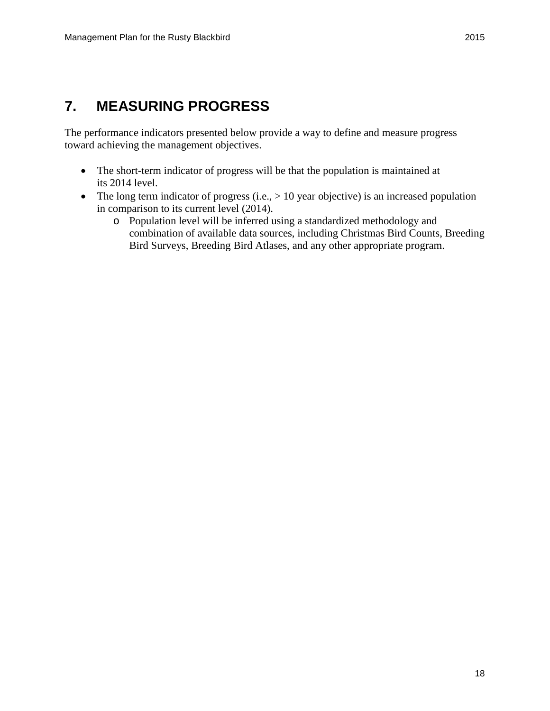# <span id="page-23-0"></span>**7. MEASURING PROGRESS**

The performance indicators presented below provide a way to define and measure progress toward achieving the management objectives.

- The short-term indicator of progress will be that the population is maintained at its 2014 level.
- <span id="page-23-1"></span>• The long term indicator of progress (i.e.,  $> 10$  year objective) is an increased population in comparison to its current level (2014).
	- o Population level will be inferred using a standardized methodology and combination of available data sources, including Christmas Bird Counts, Breeding Bird Surveys, Breeding Bird Atlases, and any other appropriate program.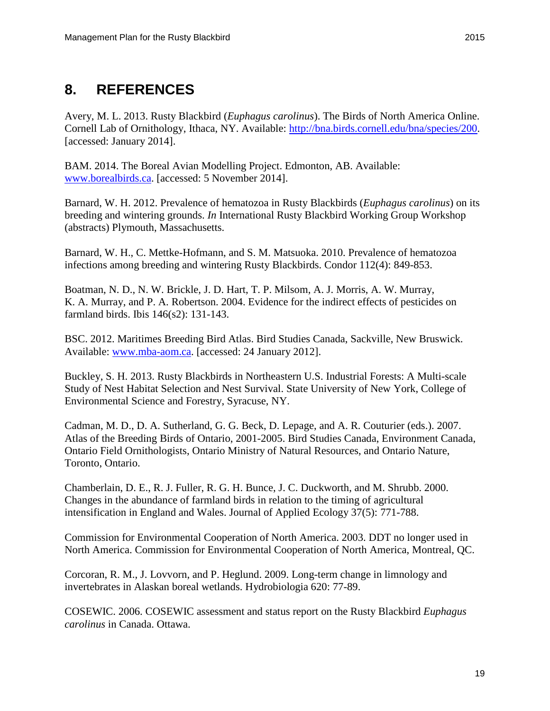### **8. REFERENCES**

<span id="page-24-1"></span>Avery, M. L. 2013. Rusty Blackbird (*Euphagus carolinus*). The Birds of North America Online. Cornell Lab of Ornithology, Ithaca, NY. Available: [http://bna.birds.cornell.edu/bna/species/200.](http://bna.birds.cornell.edu/bna/species/200) [accessed: January 2014].

<span id="page-24-2"></span>BAM. 2014. The Boreal Avian Modelling Project. Edmonton, AB. Available: [www.borealbirds.ca.](http://www.borealbirds.ca/) [accessed: 5 November 2014].

<span id="page-24-10"></span>Barnard, W. H. 2012. Prevalence of hematozoa in Rusty Blackbirds (*Euphagus carolinus*) on its breeding and wintering grounds. *In* International Rusty Blackbird Working Group Workshop (abstracts) Plymouth, Massachusetts.

<span id="page-24-11"></span>Barnard, W. H., C. Mettke-Hofmann, and S. M. Matsuoka. 2010. Prevalence of hematozoa infections among breeding and wintering Rusty Blackbirds. Condor 112(4): 849-853.

<span id="page-24-7"></span>Boatman, N. D., N. W. Brickle, J. D. Hart, T. P. Milsom, A. J. Morris, A. W. Murray, K. A. Murray, and P. A. Robertson. 2004. Evidence for the indirect effects of pesticides on farmland birds. Ibis 146(s2): 131-143.

<span id="page-24-3"></span>BSC. 2012. Maritimes Breeding Bird Atlas. Bird Studies Canada, Sackville, New Bruswick. Available: [www.mba-aom.ca.](http://www.mba-aom.ca/) [accessed: 24 January 2012].

<span id="page-24-5"></span>Buckley, S. H. 2013. Rusty Blackbirds in Northeastern U.S. Industrial Forests: A Multi-scale Study of Nest Habitat Selection and Nest Survival. State University of New York, College of Environmental Science and Forestry, Syracuse, NY.

<span id="page-24-4"></span>Cadman, M. D., D. A. Sutherland, G. G. Beck, D. Lepage, and A. R. Couturier (eds.). 2007. Atlas of the Breeding Birds of Ontario, 2001-2005. Bird Studies Canada, Environment Canada, Ontario Field Ornithologists, Ontario Ministry of Natural Resources, and Ontario Nature, Toronto, Ontario.

<span id="page-24-6"></span>Chamberlain, D. E., R. J. Fuller, R. G. H. Bunce, J. C. Duckworth, and M. Shrubb. 2000. Changes in the abundance of farmland birds in relation to the timing of agricultural intensification in England and Wales. Journal of Applied Ecology 37(5): 771-788.

<span id="page-24-8"></span>Commission for Environmental Cooperation of North America. 2003. DDT no longer used in North America. Commission for Environmental Cooperation of North America, Montreal, QC.

<span id="page-24-9"></span>Corcoran, R. M., J. Lovvorn, and P. Heglund. 2009. Long-term change in limnology and invertebrates in Alaskan boreal wetlands. Hydrobiologia 620: 77-89.

<span id="page-24-0"></span>COSEWIC. 2006. COSEWIC assessment and status report on the Rusty Blackbird *Euphagus carolinus* in Canada. Ottawa.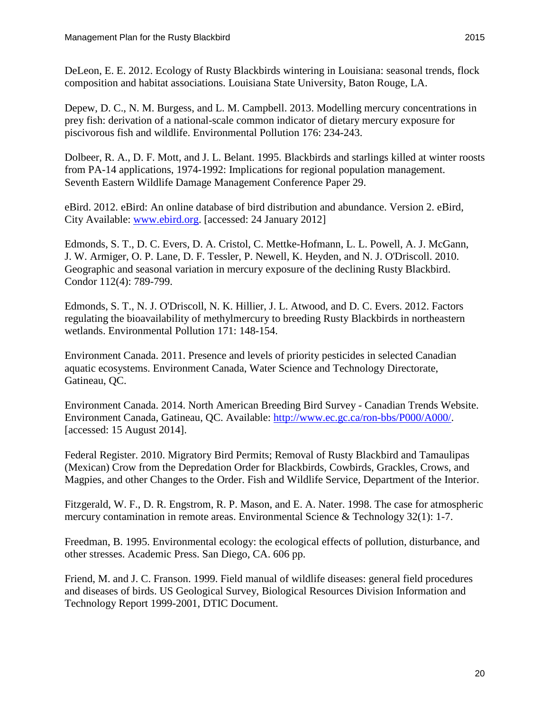<span id="page-25-0"></span>DeLeon, E. E. 2012. Ecology of Rusty Blackbirds wintering in Louisiana: seasonal trends, flock composition and habitat associations. Louisiana State University, Baton Rouge, LA.

<span id="page-25-8"></span>Depew, D. C., N. M. Burgess, and L. M. Campbell. 2013. Modelling mercury concentrations in prey fish: derivation of a national-scale common indicator of dietary mercury exposure for piscivorous fish and wildlife. Environmental Pollution 176: 234-243.

<span id="page-25-4"></span>Dolbeer, R. A., D. F. Mott, and J. L. Belant. 1995. Blackbirds and starlings killed at winter roosts from PA-14 applications, 1974-1992: Implications for regional population management. Seventh Eastern Wildlife Damage Management Conference Paper 29.

<span id="page-25-1"></span>eBird. 2012. eBird: An online database of bird distribution and abundance. Version 2. eBird, City Available: [www.ebird.org.](http://www.ebird.org/) [accessed: 24 January 2012]

<span id="page-25-3"></span>Edmonds, S. T., D. C. Evers, D. A. Cristol, C. Mettke-Hofmann, L. L. Powell, A. J. McGann, J. W. Armiger, O. P. Lane, D. F. Tessler, P. Newell, K. Heyden, and N. J. O'Driscoll. 2010. Geographic and seasonal variation in mercury exposure of the declining Rusty Blackbird. Condor 112(4): 789-799.

<span id="page-25-6"></span>Edmonds, S. T., N. J. O'Driscoll, N. K. Hillier, J. L. Atwood, and D. C. Evers. 2012. Factors regulating the bioavailability of methylmercury to breeding Rusty Blackbirds in northeastern wetlands. Environmental Pollution 171: 148-154.

<span id="page-25-11"></span>Environment Canada. 2011. Presence and levels of priority pesticides in selected Canadian aquatic ecosystems. Environment Canada, Water Science and Technology Directorate, Gatineau, QC.

<span id="page-25-2"></span>Environment Canada. 2014. North American Breeding Bird Survey - Canadian Trends Website. Environment Canada, Gatineau, QC. Available: [http://www.ec.gc.ca/ron-bbs/P000/A000/.](http://www.ec.gc.ca/ron-bbs/P000/A000/) [accessed: 15 August 2014].

<span id="page-25-5"></span>Federal Register. 2010. Migratory Bird Permits; Removal of Rusty Blackbird and Tamaulipas (Mexican) Crow from the Depredation Order for Blackbirds, Cowbirds, Grackles, Crows, and Magpies, and other Changes to the Order. Fish and Wildlife Service, Department of the Interior.

<span id="page-25-7"></span>Fitzgerald, W. F., D. R. Engstrom, R. P. Mason, and E. A. Nater. 1998. The case for atmospheric mercury contamination in remote areas. Environmental Science & Technology 32(1): 1-7.

<span id="page-25-9"></span>Freedman, B. 1995. Environmental ecology: the ecological effects of pollution, disturbance, and other stresses. Academic Press. San Diego, CA. 606 pp.

<span id="page-25-10"></span>Friend, M. and J. C. Franson. 1999. Field manual of wildlife diseases: general field procedures and diseases of birds. US Geological Survey, Biological Resources Division Information and Technology Report 1999-2001, DTIC Document.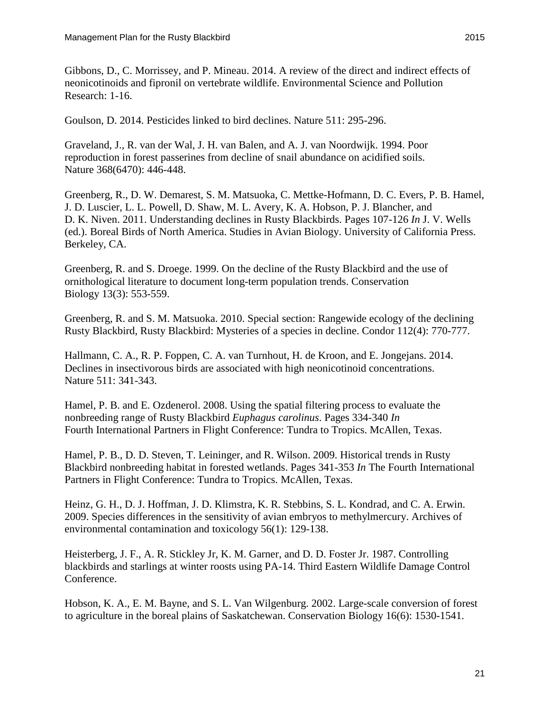<span id="page-26-11"></span>Gibbons, D., C. Morrissey, and P. Mineau. 2014. A review of the direct and indirect effects of neonicotinoids and fipronil on vertebrate wildlife. Environmental Science and Pollution Research: 1-16.

<span id="page-26-9"></span>Goulson, D. 2014. Pesticides linked to bird declines. Nature 511: 295-296.

<span id="page-26-8"></span>Graveland, J., R. van der Wal, J. H. van Balen, and A. J. van Noordwijk. 1994. Poor reproduction in forest passerines from decline of snail abundance on acidified soils. Nature 368(6470): 446-448.

<span id="page-26-1"></span>Greenberg, R., D. W. Demarest, S. M. Matsuoka, C. Mettke-Hofmann, D. C. Evers, P. B. Hamel, J. D. Luscier, L. L. Powell, D. Shaw, M. L. Avery, K. A. Hobson, P. J. Blancher, and D. K. Niven. 2011. Understanding declines in Rusty Blackbirds. Pages 107-126 *In* J. V. Wells (ed.). Boreal Birds of North America. Studies in Avian Biology. University of California Press. Berkeley, CA.

<span id="page-26-3"></span>Greenberg, R. and S. Droege. 1999. On the decline of the Rusty Blackbird and the use of ornithological literature to document long-term population trends. Conservation Biology 13(3): 553-559.

<span id="page-26-4"></span>Greenberg, R. and S. M. Matsuoka. 2010. Special section: Rangewide ecology of the declining Rusty Blackbird, Rusty Blackbird: Mysteries of a species in decline. Condor 112(4): 770-777.

<span id="page-26-10"></span>Hallmann, C. A., R. P. Foppen, C. A. van Turnhout, H. de Kroon, and E. Jongejans. 2014. Declines in insectivorous birds are associated with high neonicotinoid concentrations. Nature 511: 341-343.

<span id="page-26-0"></span>Hamel, P. B. and E. Ozdenerol. 2008. Using the spatial filtering process to evaluate the nonbreeding range of Rusty Blackbird *Euphagus carolinus*. Pages 334-340 *In* Fourth International Partners in Flight Conference: Tundra to Tropics. McAllen, Texas.

<span id="page-26-2"></span>Hamel, P. B., D. D. Steven, T. Leininger, and R. Wilson. 2009. Historical trends in Rusty Blackbird nonbreeding habitat in forested wetlands. Pages 341-353 *In* The Fourth International Partners in Flight Conference: Tundra to Tropics. McAllen, Texas.

<span id="page-26-7"></span>Heinz, G. H., D. J. Hoffman, J. D. Klimstra, K. R. Stebbins, S. L. Kondrad, and C. A. Erwin. 2009. Species differences in the sensitivity of avian embryos to methylmercury. Archives of environmental contamination and toxicology 56(1): 129-138.

<span id="page-26-6"></span>Heisterberg, J. F., A. R. Stickley Jr, K. M. Garner, and D. D. Foster Jr. 1987. Controlling blackbirds and starlings at winter roosts using PA-14. Third Eastern Wildlife Damage Control Conference.

<span id="page-26-5"></span>Hobson, K. A., E. M. Bayne, and S. L. Van Wilgenburg. 2002. Large-scale conversion of forest to agriculture in the boreal plains of Saskatchewan. Conservation Biology 16(6): 1530-1541.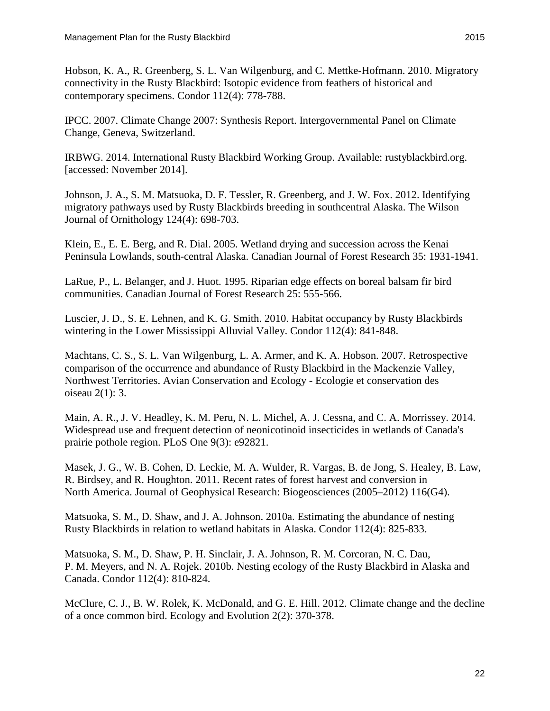<span id="page-27-0"></span>Hobson, K. A., R. Greenberg, S. L. Van Wilgenburg, and C. Mettke-Hofmann. 2010. Migratory connectivity in the Rusty Blackbird: Isotopic evidence from feathers of historical and contemporary specimens. Condor 112(4): 778-788.

<span id="page-27-10"></span>IPCC. 2007. Climate Change 2007: Synthesis Report. Intergovernmental Panel on Climate Change, Geneva, Switzerland.

<span id="page-27-11"></span>IRBWG. 2014. International Rusty Blackbird Working Group. Available: rustyblackbird.org. [accessed: November 2014].

<span id="page-27-1"></span>Johnson, J. A., S. M. Matsuoka, D. F. Tessler, R. Greenberg, and J. W. Fox. 2012. Identifying migratory pathways used by Rusty Blackbirds breeding in southcentral Alaska. The Wilson Journal of Ornithology 124(4): 698-703.

<span id="page-27-9"></span>Klein, E., E. E. Berg, and R. Dial. 2005. Wetland drying and succession across the Kenai Peninsula Lowlands, south-central Alaska. Canadian Journal of Forest Research 35: 1931-1941.

<span id="page-27-5"></span>LaRue, P., L. Belanger, and J. Huot. 1995. Riparian edge effects on boreal balsam fir bird communities. Canadian Journal of Forest Research 25: 555-566.

<span id="page-27-6"></span>Luscier, J. D., S. E. Lehnen, and K. G. Smith. 2010. Habitat occupancy by Rusty Blackbirds wintering in the Lower Mississippi Alluvial Valley. Condor 112(4): 841-848.

<span id="page-27-12"></span>Machtans, C. S., S. L. Van Wilgenburg, L. A. Armer, and K. A. Hobson. 2007. Retrospective comparison of the occurrence and abundance of Rusty Blackbird in the Mackenzie Valley, Northwest Territories. Avian Conservation and Ecology - Ecologie et conservation des oiseau 2(1): 3.

<span id="page-27-8"></span>Main, A. R., J. V. Headley, K. M. Peru, N. L. Michel, A. J. Cessna, and C. A. Morrissey. 2014. Widespread use and frequent detection of neonicotinoid insecticides in wetlands of Canada's prairie pothole region. PLoS One 9(3): e92821.

<span id="page-27-7"></span>Masek, J. G., W. B. Cohen, D. Leckie, M. A. Wulder, R. Vargas, B. de Jong, S. Healey, B. Law, R. Birdsey, and R. Houghton. 2011. Recent rates of forest harvest and conversion in North America. Journal of Geophysical Research: Biogeosciences (2005–2012) 116(G4).

<span id="page-27-3"></span>Matsuoka, S. M., D. Shaw, and J. A. Johnson. 2010a. Estimating the abundance of nesting Rusty Blackbirds in relation to wetland habitats in Alaska. Condor 112(4): 825-833.

<span id="page-27-4"></span>Matsuoka, S. M., D. Shaw, P. H. Sinclair, J. A. Johnson, R. M. Corcoran, N. C. Dau, P. M. Meyers, and N. A. Rojek. 2010b. Nesting ecology of the Rusty Blackbird in Alaska and Canada. Condor 112(4): 810-824.

<span id="page-27-2"></span>McClure, C. J., B. W. Rolek, K. McDonald, and G. E. Hill. 2012. Climate change and the decline of a once common bird. Ecology and Evolution 2(2): 370-378.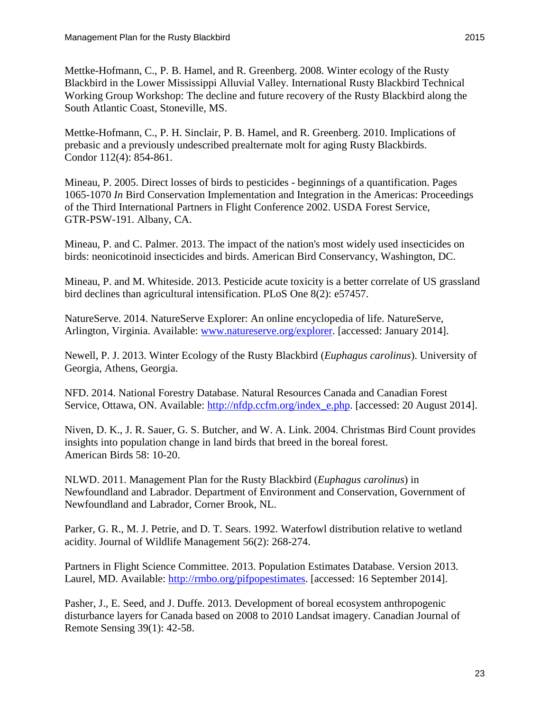<span id="page-28-2"></span>Mettke-Hofmann, C., P. B. Hamel, and R. Greenberg. 2008. Winter ecology of the Rusty Blackbird in the Lower Mississippi Alluvial Valley. International Rusty Blackbird Technical Working Group Workshop: The decline and future recovery of the Rusty Blackbird along the South Atlantic Coast, Stoneville, MS.

<span id="page-28-12"></span>Mettke-Hofmann, C., P. H. Sinclair, P. B. Hamel, and R. Greenberg. 2010. Implications of prebasic and a previously undescribed prealternate molt for aging Rusty Blackbirds. Condor 112(4): 854-861.

<span id="page-28-10"></span>Mineau, P. 2005. Direct losses of birds to pesticides - beginnings of a quantification. Pages 1065-1070 *In* Bird Conservation Implementation and Integration in the Americas: Proceedings of the Third International Partners in Flight Conference 2002. USDA Forest Service, GTR-PSW-191. Albany, CA.

<span id="page-28-11"></span>Mineau, P. and C. Palmer. 2013. The impact of the nation's most widely used insecticides on birds: neonicotinoid insecticides and birds. American Bird Conservancy, Washington, DC.

<span id="page-28-9"></span>Mineau, P. and M. Whiteside. 2013. Pesticide acute toxicity is a better correlate of US grassland bird declines than agricultural intensification. PLoS One 8(2): e57457.

<span id="page-28-1"></span>NatureServe. 2014. NatureServe Explorer: An online encyclopedia of life. NatureServe, Arlington, Virginia. Available: [www.natureserve.org/explorer.](http://www.natureserve.org/explorer) [accessed: January 2014].

<span id="page-28-4"></span>Newell, P. J. 2013. Winter Ecology of the Rusty Blackbird (*Euphagus carolinus*). University of Georgia, Athens, Georgia.

<span id="page-28-5"></span>NFD. 2014. National Forestry Database. Natural Resources Canada and Canadian Forest Service, Ottawa, ON. Available: [http://nfdp.ccfm.org/index\\_e.php.](http://nfdp.ccfm.org/index_e.php) [accessed: 20 August 2014].

<span id="page-28-3"></span>Niven, D. K., J. R. Sauer, G. S. Butcher, and W. A. Link. 2004. Christmas Bird Count provides insights into population change in land birds that breed in the boreal forest. American Birds 58: 10-20.

<span id="page-28-7"></span>NLWD. 2011. Management Plan for the Rusty Blackbird (*Euphagus carolinus*) in Newfoundland and Labrador. Department of Environment and Conservation, Government of Newfoundland and Labrador, Corner Brook, NL.

<span id="page-28-8"></span>Parker, G. R., M. J. Petrie, and D. T. Sears. 1992. Waterfowl distribution relative to wetland acidity. Journal of Wildlife Management 56(2): 268-274.

<span id="page-28-0"></span>Partners in Flight Science Committee. 2013. Population Estimates Database. Version 2013. Laurel, MD. Available: [http://rmbo.org/pifpopestimates.](http://rmbo.org/pifpopestimates) [accessed: 16 September 2014].

<span id="page-28-6"></span>Pasher, J., E. Seed, and J. Duffe. 2013. Development of boreal ecosystem anthropogenic disturbance layers for Canada based on 2008 to 2010 Landsat imagery. Canadian Journal of Remote Sensing 39(1): 42-58.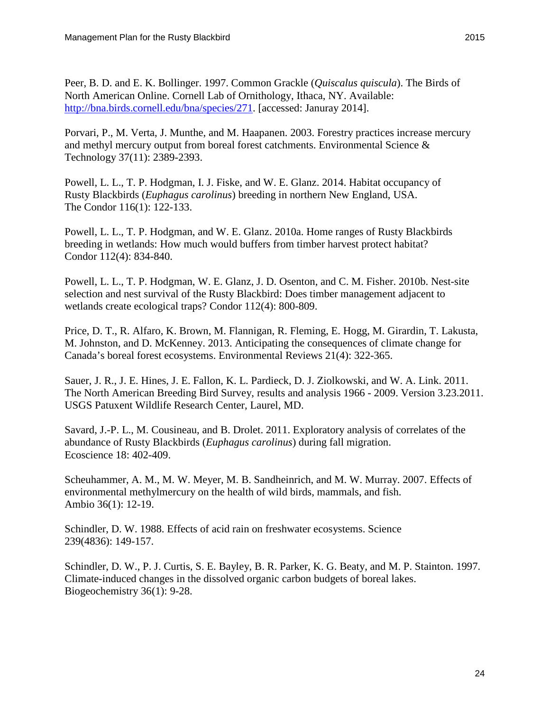<span id="page-29-10"></span>Peer, B. D. and E. K. Bollinger. 1997. Common Grackle (*Quiscalus quiscula*). The Birds of North American Online. Cornell Lab of Ornithology, Ithaca, NY. Available: [http://bna.birds.cornell.edu/bna/species/271.](http://bna.birds.cornell.edu/bna/species/271) [accessed: Januray 2014].

<span id="page-29-6"></span>Porvari, P., M. Verta, J. Munthe, and M. Haapanen. 2003. Forestry practices increase mercury and methyl mercury output from boreal forest catchments. Environmental Science & Technology 37(11): 2389-2393.

<span id="page-29-2"></span>Powell, L. L., T. P. Hodgman, I. J. Fiske, and W. E. Glanz. 2014. Habitat occupancy of Rusty Blackbirds (*Euphagus carolinus*) breeding in northern New England, USA. The Condor 116(1): 122-133.

<span id="page-29-3"></span>Powell, L. L., T. P. Hodgman, and W. E. Glanz. 2010a. Home ranges of Rusty Blackbirds breeding in wetlands: How much would buffers from timber harvest protect habitat? Condor 112(4): 834-840.

<span id="page-29-4"></span>Powell, L. L., T. P. Hodgman, W. E. Glanz, J. D. Osenton, and C. M. Fisher. 2010b. Nest-site selection and nest survival of the Rusty Blackbird: Does timber management adjacent to wetlands create ecological traps? Condor 112(4): 800-809.

<span id="page-29-9"></span>Price, D. T., R. Alfaro, K. Brown, M. Flannigan, R. Fleming, E. Hogg, M. Girardin, T. Lakusta, M. Johnston, and D. McKenney. 2013. Anticipating the consequences of climate change for Canada's boreal forest ecosystems. Environmental Reviews 21(4): 322-365.

<span id="page-29-1"></span>Sauer, J. R., J. E. Hines, J. E. Fallon, K. L. Pardieck, D. J. Ziolkowski, and W. A. Link. 2011. The North American Breeding Bird Survey, results and analysis 1966 - 2009. Version 3.23.2011. USGS Patuxent Wildlife Research Center, Laurel, MD.

<span id="page-29-0"></span>Savard, J.-P. L., M. Cousineau, and B. Drolet. 2011. Exploratory analysis of correlates of the abundance of Rusty Blackbirds (*Euphagus carolinus*) during fall migration. Ecoscience 18: 402-409.

<span id="page-29-5"></span>Scheuhammer, A. M., M. W. Meyer, M. B. Sandheinrich, and M. W. Murray. 2007. Effects of environmental methylmercury on the health of wild birds, mammals, and fish. Ambio 36(1): 12-19.

<span id="page-29-7"></span>Schindler, D. W. 1988. Effects of acid rain on freshwater ecosystems. Science 239(4836): 149-157.

<span id="page-29-8"></span>Schindler, D. W., P. J. Curtis, S. E. Bayley, B. R. Parker, K. G. Beaty, and M. P. Stainton. 1997. Climate-induced changes in the dissolved organic carbon budgets of boreal lakes. Biogeochemistry 36(1): 9-28.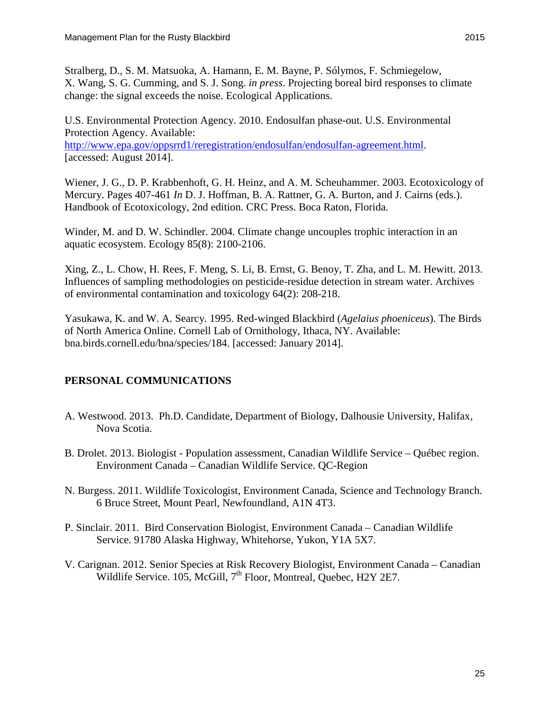<span id="page-30-3"></span>Stralberg, D., S. M. Matsuoka, A. Hamann, E. M. Bayne, P. Sólymos, F. Schmiegelow, X. Wang, S. G. Cumming, and S. J. Song. *in press*. Projecting boreal bird responses to climate change: the signal exceeds the noise. Ecological Applications.

<span id="page-30-1"></span>U.S. Environmental Protection Agency. 2010. Endosulfan phase-out. U.S. Environmental Protection Agency. Available: [http://www.epa.gov/oppsrrd1/reregistration/endosulfan/endosulfan-agreement.html.](http://www.epa.gov/oppsrrd1/reregistration/endosulfan/endosulfan-agreement.html) [accessed: August 2014].

<span id="page-30-0"></span>Wiener, J. G., D. P. Krabbenhoft, G. H. Heinz, and A. M. Scheuhammer. 2003. Ecotoxicology of Mercury. Pages 407-461 *In* D. J. Hoffman, B. A. Rattner, G. A. Burton, and J. Cairns (eds.). Handbook of Ecotoxicology, 2nd edition. CRC Press. Boca Raton, Florida.

<span id="page-30-4"></span>Winder, M. and D. W. Schindler. 2004. Climate change uncouples trophic interaction in an aquatic ecosystem. Ecology 85(8): 2100-2106.

<span id="page-30-2"></span>Xing, Z., L. Chow, H. Rees, F. Meng, S. Li, B. Ernst, G. Benoy, T. Zha, and L. M. Hewitt. 2013. Influences of sampling methodologies on pesticide-residue detection in stream water. Archives of environmental contamination and toxicology 64(2): 208-218.

<span id="page-30-5"></span>Yasukawa, K. and W. A. Searcy. 1995. Red-winged Blackbird (*Agelaius phoeniceus*). The Birds of North America Online. Cornell Lab of Ornithology, Ithaca, NY. Available: bna.birds.cornell.edu/bna/species/184. [accessed: January 2014].

#### **PERSONAL COMMUNICATIONS**

- A. Westwood. 2013. Ph.D. Candidate, Department of Biology, Dalhousie University, Halifax, Nova Scotia.
- B. Drolet. 2013. Biologist Population assessment, Canadian Wildlife Service Québec region. Environment Canada – Canadian Wildlife Service. QC-Region
- N. Burgess. 2011. Wildlife Toxicologist, Environment Canada, Science and Technology Branch. 6 Bruce Street, Mount Pearl, Newfoundland, A1N 4T3.
- P. Sinclair. 2011. Bird Conservation Biologist, Environment Canada Canadian Wildlife Service. 91780 Alaska Highway, Whitehorse, Yukon, Y1A 5X7.
- V. Carignan. 2012. Senior Species at Risk Recovery Biologist, Environment Canada Canadian Wildlife Service. 105, McGill, 7<sup>th</sup> Floor, Montreal, Quebec, H2Y 2E7.